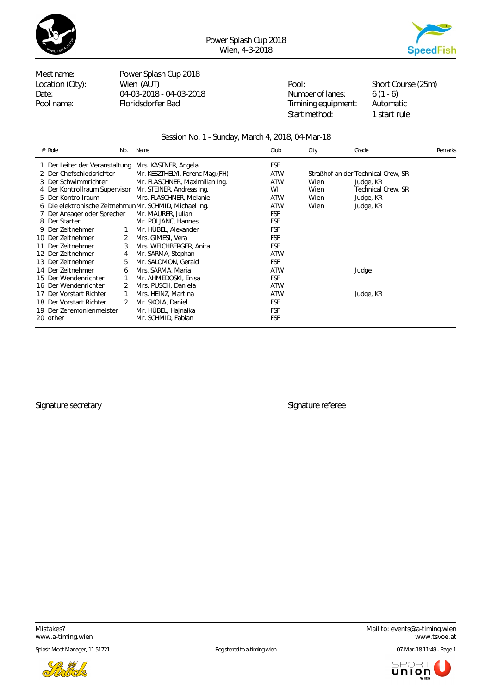



Meet name: Power Splash Cup 2018 Location (City): Wien (AUT) Number 25m) Rool: Short Course (25m) Date: 04-03-2018 - 04-03-2018 Mumber of lanes: 6 (1 - 6)<br>
Pool name: Floridsdorfer Bad Timining equipment: Automatic Pool name: Floridsdorfer Bad Timining equipment:

Start method: 1 start rule

#### Session No. 1 - Sunday, March 4, 2018, 04-Mar-18

| # Role<br>No.                                          | Name                             | Club       | City | Grade                              | Remarks |
|--------------------------------------------------------|----------------------------------|------------|------|------------------------------------|---------|
| 1 Der Leiter der Veranstaltung                         | Mrs. KASTNER, Angela             | <b>FSF</b> |      |                                    |         |
| 2 Der Chefschiedsrichter                               | Mr. KESZTHELYI, Ferenc Mag. (FH) | <b>ATW</b> |      | Straßhof an der Technical Crew, SR |         |
| 3 Der Schwimmrichter                                   | Mr. FLASCHNER, Maximilian Ing.   | <b>ATW</b> | Wien | Judge, KR                          |         |
| 4 Der Kontrollraum Supervisor                          | Mr. STEINER, Andreas Ing.        | WI         | Wien | Technical Crew, SR                 |         |
| 5 Der Kontrollraum                                     | Mrs. FLASCHNER, Melanie          | <b>ATW</b> | Wien | Judge, KR                          |         |
| 6 Die elektronische ZeitnehmunMr. SCHMID, Michael Ing. |                                  | <b>ATW</b> | Wien | Judge, KR                          |         |
| 7 Der Ansager oder Sprecher                            | Mr. MAURER, Julian               | <b>FSF</b> |      |                                    |         |
| 8 Der Starter                                          | Mr. POLJANC, Hannes              | <b>FSF</b> |      |                                    |         |
| 9 Der Zeitnehmer                                       | Mr. HÜBEL, Alexander             | <b>FSF</b> |      |                                    |         |
| 10 Der Zeitnehmer<br>2                                 | Mrs. GIMESI, Vera                | <b>FSF</b> |      |                                    |         |
| 11 Der Zeitnehmer<br>3                                 | Mrs. WEICHBERGER, Anita          | <b>FSF</b> |      |                                    |         |
| 12 Der Zeitnehmer<br>4                                 | Mr. SARMA, Stephan               | <b>ATW</b> |      |                                    |         |
| 13 Der Zeitnehmer<br>5                                 | Mr. SALOMON, Gerald              | <b>FSF</b> |      |                                    |         |
| 14 Der Zeitnehmer<br>6                                 | Mrs. SARMA, Maria                | <b>ATW</b> |      | Judge                              |         |
| 15 Der Wendenrichter                                   | Mr. AHMEDOSKI, Enisa             | <b>FSF</b> |      |                                    |         |
| 16 Der Wendenrichter<br>2                              | Mrs. PUSCH, Daniela              | <b>ATW</b> |      |                                    |         |
| 17 Der Vorstart Richter                                | Mrs. HEINZ, Martina              | <b>ATW</b> |      | Judge, KR                          |         |
| 18 Der Vorstart Richter<br>2                           | Mr. SKOLA, Daniel                | <b>FSF</b> |      |                                    |         |
| 19 Der Zeremonienmeister                               | Mr. HÜBEL, Hajnalka              | <b>FSF</b> |      |                                    |         |
| 20 other                                               | Mr. SCHMID, Fabian               | <b>FSF</b> |      |                                    |         |
|                                                        |                                  |            |      |                                    |         |

Signature secretary and states of the Signature referee

<www.a-timing.wien>

Splash Meet Manager, 11.51721 **Registered to a-timing.wien** Comparent Comparent Comparent Comparent Comparent Comparent Comparent Comparent Comparent Comparent Comparent Comparent Comparent Comparent Comparent Comparent Co



Mistakes?<br>
Mail to: [events@a-timing.wien](mailto:events@a-timing.wien)<br>
www.a-timing.wien www.tsvoe.at

SPOF

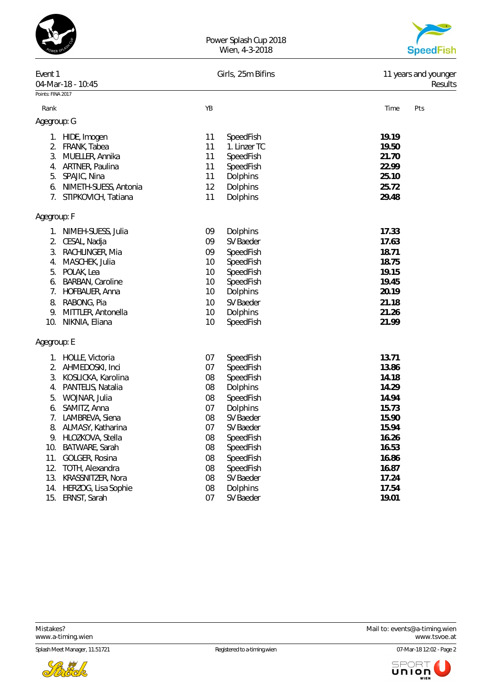| POWER SPLASHO |
|---------------|
|---------------|



| Event 1           | 04-Mar-18 - 10:45     |    | Girls, 25m Bifins | 11 years and younger |
|-------------------|-----------------------|----|-------------------|----------------------|
| Points: FINA 2017 |                       |    |                   | Results              |
|                   |                       |    |                   |                      |
| Rank              |                       | YB |                   | Time<br>Pts          |
| Agegroup: G       |                       |    |                   |                      |
|                   | 1. HIDE, Imogen       | 11 | SpeedFish         | 19.19                |
| 2.                | FRANK, Tabea          | 11 | 1. Linzer TC      | 19.50                |
| 3.                | MUELLER, Annika       | 11 | SpeedFish         | 21.70                |
|                   | 4. ARTNER, Paulina    | 11 | SpeedFish         | 22.99                |
| 5.                | SPAJIC, Nina          | 11 | Dolphins          | 25.10                |
| 6.                | NIMETH-SUESS, Antonia | 12 | Dolphins          | 25.72                |
| 7.                | STIPKOVICH, Tatiana   | 11 | Dolphins          | 29.48                |
| Agegroup: F       |                       |    |                   |                      |
| 1.                | NIMEH-SUESS, Julia    | 09 | Dolphins          | 17.33                |
| 2.                | CESAL, Nadja          | 09 | SV Baeder         | 17.63                |
| 3.                | RACHLINGER, Mia       | 09 | SpeedFish         | 18.71                |
| 4.                | MASCHEK, Julia        | 10 | SpeedFish         | 18.75                |
| 5.                | POLAK, Lea            | 10 | SpeedFish         | 19.15                |
| 6.                | BARBAN, Caroline      | 10 | SpeedFish         | 19.45                |
| 7.                | HOFBAUER, Anna        | 10 | Dolphins          | 20.19                |
| 8.                | RABONG, Pia           | 10 | SV Baeder         | 21.18                |
| 9.                | MITTLER, Antonella    | 10 | Dolphins          | 21.26                |
|                   | 10. NIKNIA, Eliana    | 10 | SpeedFish         | 21.99                |
| Agegroup: E       |                       |    |                   |                      |
| 1.                | HOLLE, Victoria       | 07 | SpeedFish         | 13.71                |
| 2.                | AHMEDOSKI, Inci       | 07 | SpeedFish         | 13.86                |
| 3.                | KOSLICKA, Karolina    | 08 | SpeedFish         | 14.18                |
| 4.                | PANTELIS, Natalia     | 08 | Dolphins          | 14.29                |
| 5.                | WOJNAR, Julia         | 08 | SpeedFish         | 14.94                |
| 6.                | SAMITZ, Anna          | 07 | Dolphins          | 15.73                |
| 7.                | LAMBREVA, Siena       | 08 | SV Baeder         | 15.90                |
| 8.                | ALMASY, Katharina     | 07 | SV Baeder         | 15.94                |
| 9.                | HLOZKOVA, Stella      | 08 | SpeedFish         | 16.26                |
| 10.               | BATWARE, Sarah        | 08 | SpeedFish         | 16.53                |
| 11.               | GOLGER, Rosina        | 08 | SpeedFish         | 16.86                |
| 12.               | TOTH, Alexandra       | 08 | SpeedFish         | 16.87                |
| 13.               | KRASSNITZER, Nora     | 08 | SV Baeder         | 17.24                |
| 14.               | HERZOG, Lisa Sophie   | 08 | Dolphins          | 17.54                |
| 15.               | ERNST, Sarah          | 07 | SV Baeder         | 19.01                |



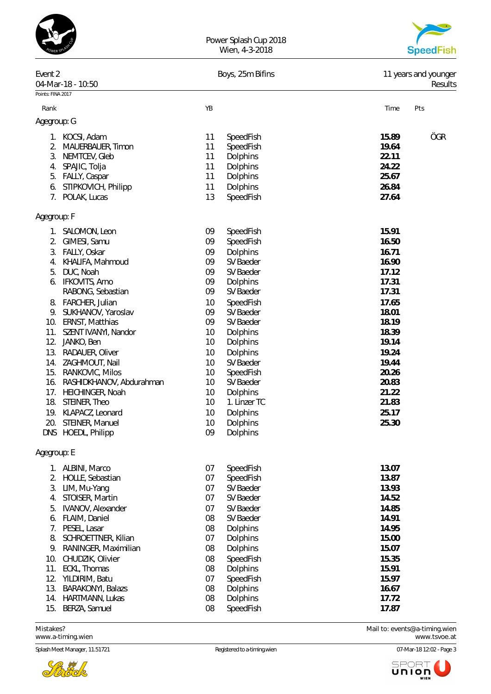|                   |                                        |          | Power Splash Cup 2018<br>Wien, 4-3-2018 |                | <b>SpeedFish</b>     |
|-------------------|----------------------------------------|----------|-----------------------------------------|----------------|----------------------|
| Event 2           |                                        |          | Boys, 25m Bifins                        |                | 11 years and younger |
| Points: FINA 2017 | 04-Mar-18 - 10:50                      |          |                                         |                | Results              |
|                   |                                        |          |                                         |                |                      |
| Rank              |                                        | YB       |                                         | Time           | Pts                  |
| Agegroup: G       |                                        |          |                                         |                |                      |
|                   | 1. KOCSI, Adam                         | 11       | SpeedFish                               | 15.89          | ÖGR                  |
| 2.                | MAUERBAUER, Timon                      | 11       | SpeedFish                               | 19.64          |                      |
|                   | 3. NEMTCEV, Gleb                       | 11<br>11 | Dolphins                                | 22.11<br>24.22 |                      |
| 5.                | 4. SPAJIC, Tolja<br>FALLY, Caspar      | 11       | Dolphins<br>Dolphins                    | 25.67          |                      |
| 6.                | STIPKOVICH, Philipp                    | 11       | Dolphins                                | 26.84          |                      |
| 7.                | POLAK, Lucas                           | 13       | SpeedFish                               | 27.64          |                      |
| Agegroup: F       |                                        |          |                                         |                |                      |
| 1.                | SALOMON, Leon                          | 09       | SpeedFish                               | 15.91          |                      |
| 2.                | GIMESI, Samu                           | 09       | SpeedFish                               | 16.50          |                      |
| 3.                | FALLY, Oskar                           | 09       | <b>Dolphins</b>                         | 16.71          |                      |
| 4.                | KHALIFA, Mahmoud                       | 09       | SV Baeder                               | 16.90          |                      |
| 5.                | DUC, Noah                              | 09<br>09 | SV Baeder                               | 17.12<br>17.31 |                      |
|                   | 6. IFKOVITS, Arno<br>RABONG, Sebastian | 09       | Dolphins<br>SV Baeder                   | 17.31          |                      |
| 8.                | FARCHER, Julian                        | 10       | SpeedFish                               | 17.65          |                      |
| 9.                | SUKHANOV, Yaroslav                     | 09       | SV Baeder                               | 18.01          |                      |
| 10.               | ERNST, Matthias                        | 09       | SV Baeder                               | 18.19          |                      |
| 11.               | SZENT IVANYI, Nandor                   | 10       | Dolphins                                | 18.39          |                      |
| 12.               | JANKO, Ben                             | 10       | Dolphins                                | 19.14          |                      |
| 13.               | RADAUER, Oliver                        | 10       | Dolphins                                | 19.24          |                      |
| 14.<br>15.        | ZAGHMOUT, Nail<br>RANKOVIC, Milos      | 10<br>10 | SV Baeder<br>SpeedFish                  | 19.44<br>20.26 |                      |
| 16.               | RASHIDKHANOV, Abdurahman               | 10       | SV Baeder                               | 20.83          |                      |
| 17.               | HEICHINGER, Noah                       | 10       | Dolphins                                | 21.22          |                      |
| 18.               | STEINER, Theo                          | 10       | 1. Linzer TC                            | 21.83          |                      |
| 19.               | KLAPACZ, Leonard                       | 10       | Dolphins                                | 25.17          |                      |
|                   | 20. STEINER, Manuel                    | 10       | Dolphins                                | 25.30          |                      |
|                   | DNS HOEDL, Philipp                     | 09       | Dolphins                                |                |                      |
| Agegroup: E       |                                        |          |                                         |                |                      |
|                   | 1. ALBINI, Marco                       | 07       | SpeedFish                               | 13.07          |                      |
| 2.                | HOLLE, Sebastian                       | 07       | SpeedFish                               | 13.87          |                      |
| 3.<br>4.          | LIM, Mu-Yang<br>STOISER, Martin        | 07<br>07 | SV Baeder<br>SV Baeder                  | 13.93<br>14.52 |                      |
| 5.                | <b>IVANOV, Alexander</b>               | 07       | SV Baeder                               | 14.85          |                      |
| 6.                | FLAIM, Daniel                          | 08       | SV Baeder                               | 14.91          |                      |
| 7.                | PESEL, Lasar                           | 08       | Dolphins                                | 14.95          |                      |
| 8.                | SCHROETTNER, Kilian                    | 07       | Dolphins                                | 15.00          |                      |
| 9.                | RANINGER, Maximilian                   | 08       | Dolphins                                | 15.07          |                      |
| 10.               | CHUDZIK, Olivier                       | 08       | SpeedFish                               | 15.35          |                      |
| 11.<br>12.        | ECKL, Thomas<br>YILDIRIM, Batu         | 08<br>07 | Dolphins<br>SpeedFish                   | 15.91<br>15.97 |                      |
| 13.               | BARAKONYI, Balazs                      | 08       | Dolphins                                | 16.67          |                      |
| 14.               | HARTMANN, Lukas                        | 08       | Dolphins                                | 17.72          |                      |
| 15.               | BERZA, Samuel                          | 08       | SpeedFish                               | 17.87          |                      |

<www.a-timing.wien>

Splash Meet Manager, 11.51721 **Registered to a-timing.wien** Registered to a-timing.wien 07-Mar-18 12:02 - Page 3



Mistakes?<br>Wail to: [events@a-timing.wien](mailto:events@a-timing.wien) Mail to: events@a-timing.wien Mail to: events@a-timing.wien www.tsvoe.at

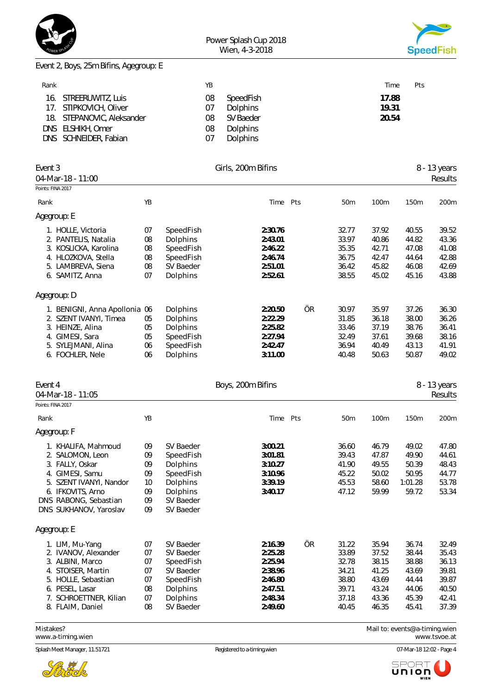



# Event 2, Boys, 25m Bifins, Agegroup: E

| Rank |                            | ΥB |                 | Time  | Pts |
|------|----------------------------|----|-----------------|-------|-----|
|      | 16. STREERUWITZ, Luis      | 08 | SpeedFish       | 17.88 |     |
|      | 17. STIPKOVICH, Oliver     | 07 | <b>Dolphins</b> | 19.31 |     |
|      | 18. STEPANOVIC, Aleksander | 08 | SV Baeder       | 20.54 |     |
|      | DNS ELSHIKH, Omer          | 08 | <b>Dolphins</b> |       |     |
|      | DNS SCHNEIDER, Fabian      | 07 | <b>Dolphins</b> |       |     |
|      |                            |    |                 |       |     |

|         | Event 3<br>04-Mar-18 - 11:00                                                                                                                                                     |                                              |                                                                                                    | Girls, 200m Bifins                                                                   |     |                                                                      |                                                                      |                                                                      | 8 - 13 years<br>Results                                              |  |
|---------|----------------------------------------------------------------------------------------------------------------------------------------------------------------------------------|----------------------------------------------|----------------------------------------------------------------------------------------------------|--------------------------------------------------------------------------------------|-----|----------------------------------------------------------------------|----------------------------------------------------------------------|----------------------------------------------------------------------|----------------------------------------------------------------------|--|
|         | Points: FINA 2017                                                                                                                                                                |                                              |                                                                                                    |                                                                                      |     |                                                                      |                                                                      |                                                                      |                                                                      |  |
| Rank    |                                                                                                                                                                                  | YB                                           |                                                                                                    | Time Pts                                                                             |     | 50m                                                                  | 100m                                                                 | 150m                                                                 | 200m                                                                 |  |
|         | Agegroup: E                                                                                                                                                                      |                                              |                                                                                                    |                                                                                      |     |                                                                      |                                                                      |                                                                      |                                                                      |  |
|         | 1. HOLLE, Victoria<br>2. PANTELIS, Natalia<br>3. KOSLICKA, Karolina<br>4. HLOZKOVA, Stella<br>5. LAMBREVA, Siena<br>6. SAMITZ, Anna                                              | 07<br>08<br>08<br>08<br>08<br>07             | SpeedFish<br>Dolphins<br>SpeedFish<br>SpeedFish<br>SV Baeder<br>Dolphins                           | 2:30.76<br>2:43.01<br>2:46.22<br>2:46.74<br>2:51.01<br>2:52.61                       |     | 32.77<br>33.97<br>35.35<br>36.75<br>36.42<br>38.55                   | 37.92<br>40.86<br>42.71<br>42.47<br>45.82<br>45.02                   | 40.55<br>44.82<br>47.08<br>44.64<br>46.08<br>45.16                   | 39.52<br>43.36<br>41.08<br>42.88<br>42.69<br>43.88                   |  |
|         | Agegroup: D                                                                                                                                                                      |                                              |                                                                                                    |                                                                                      |     |                                                                      |                                                                      |                                                                      |                                                                      |  |
|         | 1. BENIGNI, Anna Apollonia 06<br>2. SZENT IVANYI, Timea<br>3. HEINZE, Alina<br>4. GIMESI, Sara<br>5. SYLEJMANI, Alina<br>6. FOCHLER, Nele                                        | 05<br>05<br>05<br>06<br>06                   | Dolphins<br>Dolphins<br>Dolphins<br>SpeedFish<br>SpeedFish<br>Dolphins                             | 2:20.50<br>2:22.29<br>2:25.82<br>2:27.94<br>2:42.47<br>3:11.00                       | ÖR  | 30.97<br>31.85<br>33.46<br>32.49<br>36.94<br>40.48                   | 35.97<br>36.18<br>37.19<br>37.61<br>40.49<br>50.63                   | 37.26<br>38.00<br>38.76<br>39.68<br>43.13<br>50.87                   | 36.30<br>36.26<br>36.41<br>38.16<br>41.91<br>49.02                   |  |
| Event 4 | 04-Mar-18 - 11:05<br>Points: FINA 2017                                                                                                                                           |                                              |                                                                                                    | Boys, 200m Bifins                                                                    |     |                                                                      |                                                                      |                                                                      | 8 - 13 years<br>Results                                              |  |
|         |                                                                                                                                                                                  |                                              |                                                                                                    |                                                                                      |     |                                                                      |                                                                      |                                                                      |                                                                      |  |
| Rank    | Agegroup: F                                                                                                                                                                      | YB                                           |                                                                                                    | Time                                                                                 | Pts | 50m                                                                  | 100m                                                                 | 150m                                                                 | 200m                                                                 |  |
|         | 1. KHALIFA, Mahmoud<br>2. SALOMON, Leon<br>3. FALLY, Oskar<br>4. GIMESI, Samu<br>5. SZENT IVANYI, Nandor<br>6. IFKOVITS, Arno<br>DNS RABONG, Sebastian<br>DNS SUKHANOV, Yaroslav | 09<br>09<br>09<br>09<br>10<br>09<br>09<br>09 | SV Baeder<br>SpeedFish<br>Dolphins<br>SpeedFish<br>Dolphins<br>Dolphins<br>SV Baeder<br>SV Baeder  | 3:00.21<br>3:01.81<br>3:10.27<br>3:10.96<br>3:39.19<br>3:40.17                       |     | 36.60<br>39.43<br>41.90<br>45.22<br>45.53<br>47.12                   | 46.79<br>47.87<br>49.55<br>50.02<br>58.60<br>59.99                   | 49.02<br>49.90<br>50.39<br>50.95<br>1:01.28<br>59.72                 | 47.80<br>44.61<br>48.43<br>44.77<br>53.78<br>53.34                   |  |
|         | Agegroup: E                                                                                                                                                                      |                                              |                                                                                                    |                                                                                      |     |                                                                      |                                                                      |                                                                      |                                                                      |  |
|         | 1. LIM, Mu-Yang<br>2. IVANOV, Alexander<br>3. ALBINI, Marco<br>4. STOISER, Martin<br>5. HOLLE, Sebastian<br>6. PESEL, Lasar<br>7. SCHROETTNER, Kilian<br>8. FLAIM, Daniel        | 07<br>07<br>07<br>07<br>07<br>08<br>07<br>08 | SV Baeder<br>SV Baeder<br>SpeedFish<br>SV Baeder<br>SpeedFish<br>Dolphins<br>Dolphins<br>SV Baeder | 2:16.39<br>2:25.28<br>2:25.94<br>2:38.96<br>2:46.80<br>2:47.51<br>2:48.34<br>2:49.60 | ÖR  | 31.22<br>33.89<br>32.78<br>34.21<br>38.80<br>39.71<br>37.18<br>40.45 | 35.94<br>37.52<br>38.15<br>41.25<br>43.69<br>43.24<br>43.36<br>46.35 | 36.74<br>38.44<br>38.88<br>43.69<br>44.44<br>44.06<br>45.39<br>45.41 | 32.49<br>35.43<br>36.13<br>39.81<br>39.87<br>40.50<br>42.41<br>37.39 |  |

<www.a-timing.wien>



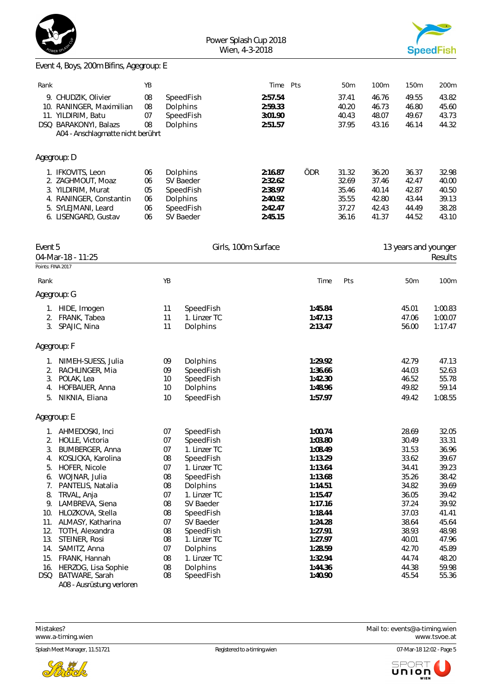



## Event 4, Boys, 200m Bifins, Agegroup: E

| Rank                        |                                                                                                                                        | YB                               |                            |                                                                          | Time                                                           | Pts |                                                     | 50m                                                | 100m                                               | 150m                                               | 200m                                               |
|-----------------------------|----------------------------------------------------------------------------------------------------------------------------------------|----------------------------------|----------------------------|--------------------------------------------------------------------------|----------------------------------------------------------------|-----|-----------------------------------------------------|----------------------------------------------------|----------------------------------------------------|----------------------------------------------------|----------------------------------------------------|
|                             | 9. CHUDZIK, Olivier<br>10. RANINGER, Maximilian<br>11. YILDIRIM, Batu<br>DSQ BARAKONYI, Balazs<br>A04 - Anschlagmatte nicht berührt    | 08<br>08<br>07<br>08             |                            | SpeedFish<br>Dolphins<br>SpeedFish<br>Dolphins                           | 2:57.54<br>2:59.33<br>3:01.90<br>2:51.57                       |     |                                                     | 37.41<br>40.20<br>40.43<br>37.95                   | 46.76<br>46.73<br>48.07<br>43.16                   | 49.55<br>46.80<br>49.67<br>46.14                   | 43.82<br>45.60<br>43.73<br>44.32                   |
|                             | Agegroup: D                                                                                                                            |                                  |                            |                                                                          |                                                                |     |                                                     |                                                    |                                                    |                                                    |                                                    |
|                             | 1. IFKOVITS, Leon<br>2. ZAGHMOUT, Moaz<br>3. YILDIRIM, Murat<br>4. RANINGER, Constantin<br>5. SYLEJMANI, Leard<br>6. LISENGARD, Gustav | 06<br>06<br>05<br>06<br>06<br>06 |                            | Dolphins<br>SV Baeder<br>SpeedFish<br>Dolphins<br>SpeedFish<br>SV Baeder | 2:16.87<br>2:32.62<br>2:38.97<br>2:40.92<br>2:42.47<br>2:45.15 |     | ÖDR                                                 | 31.32<br>32.69<br>35.46<br>35.55<br>37.27<br>36.16 | 36.20<br>37.46<br>40.14<br>42.80<br>42.43<br>41.37 | 36.37<br>42.47<br>42.87<br>43.44<br>44.49<br>44.52 | 32.98<br>40.00<br>40.50<br>39.13<br>38.28<br>43.10 |
| Event 5                     | 04-Mar-18 - 11:25                                                                                                                      |                                  |                            |                                                                          | Girls, 100m Surface                                            |     |                                                     |                                                    |                                                    | 13 years and younger                               | Results                                            |
|                             | Points: FINA 2017                                                                                                                      |                                  |                            |                                                                          |                                                                |     |                                                     |                                                    |                                                    |                                                    |                                                    |
| Rank                        |                                                                                                                                        |                                  | YB                         |                                                                          |                                                                |     | Time                                                | Pts                                                |                                                    | 50m                                                | 100m                                               |
|                             | Agegroup: G                                                                                                                            |                                  |                            |                                                                          |                                                                |     |                                                     |                                                    |                                                    |                                                    |                                                    |
|                             | 1. HIDE, Imogen<br>2. FRANK, Tabea<br>3. SPAJIC, Nina                                                                                  |                                  | 11<br>11<br>11             | SpeedFish<br>1. Linzer TC<br>Dolphins                                    |                                                                |     | 1:45.84<br>1:47.13<br>2:13.47                       |                                                    |                                                    | 45.01<br>47.06<br>56.00                            | 1:00.83<br>1:00.07<br>1:17.47                      |
|                             | Agegroup: F                                                                                                                            |                                  |                            |                                                                          |                                                                |     |                                                     |                                                    |                                                    |                                                    |                                                    |
| 1.<br>3.<br>4.              | NIMEH-SUESS, Julia<br>2. RACHLINGER, Mia<br>POLAK, Lea<br>HOFBAUER, Anna<br>5. NIKNIA, Eliana                                          |                                  | 09<br>09<br>10<br>10<br>10 | Dolphins<br>SpeedFish<br>SpeedFish<br>Dolphins<br>SpeedFish              |                                                                |     | 1:29.92<br>1:36.66<br>1:42.30<br>1:48.96<br>1:57.97 |                                                    |                                                    | 42.79<br>44.03<br>46.52<br>49.82<br>49.42          | 47.13<br>52.63<br>55.78<br>59.14<br>1:08.55        |
|                             | Agegroup: E                                                                                                                            |                                  |                            |                                                                          |                                                                |     |                                                     |                                                    |                                                    |                                                    |                                                    |
| 3.<br>4.<br>5.              | 1. AHMEDOSKI, Inci<br>2. HOLLE, Victoria<br>BUMBERGER, Anna<br>KOSLICKA, Karolina<br>HOFER, Nicole                                     |                                  | 07<br>07<br>07<br>08<br>07 | SpeedFish<br>SpeedFish<br>1. Linzer TC<br>SpeedFish<br>1. Linzer TC      |                                                                |     | 1:00.74<br>1:03.80<br>1:08.49<br>1:13.29<br>1:13.64 |                                                    |                                                    | 28.69<br>30.49<br>31.53<br>33.62<br>34.41          | 32.05<br>33.31<br>36.96<br>39.67<br>39.23          |
| 6.<br>7.<br>8.<br>9.<br>10. | WOJNAR, Julia<br>PANTELIS, Natalia<br>TRVAL, Anja<br>LAMBREVA, Siena<br>HLOZKOVA, Stella                                               |                                  | 08<br>08<br>07<br>08<br>08 | SpeedFish<br>Dolphins<br>1. Linzer TC<br>SV Baeder<br>SpeedFish          |                                                                |     | 1:13.68<br>1:14.51<br>1:15.47<br>1:17.16<br>1:18.44 |                                                    |                                                    | 35.26<br>34.82<br>36.05<br>37.24<br>37.03          | 38.42<br>39.69<br>39.42<br>39.92<br>41.41          |
| 11.<br>12.<br>13.<br>14.    | ALMASY, Katharina<br>TOTH, Alexandra<br>STEINER, Rosi<br>SAMITZ, Anna                                                                  |                                  | 07<br>08<br>08<br>07       | SV Baeder<br>SpeedFish<br>1. Linzer TC<br>Dolphins                       |                                                                |     | 1:24.28<br>1:27.91<br>1:27.97<br>1:28.59            |                                                    |                                                    | 38.64<br>38.93<br>40.01<br>42.70                   | 45.64<br>48.98<br>47.96<br>45.89                   |
| 15.<br>16.<br>DSQ           | FRANK, Hannah<br>HERZOG, Lisa Sophie<br>BATWARE, Sarah                                                                                 |                                  | 08<br>08<br>$08\,$         | 1. Linzer TC<br>Dolphins<br>SpeedFish                                    |                                                                |     | 1:32.94<br>1:44.36<br>1:40.90                       |                                                    |                                                    | 44.74<br>44.38<br>45.54                            | 48.20<br>59.98<br>55.36                            |

*A08 - Ausrüstung verloren*



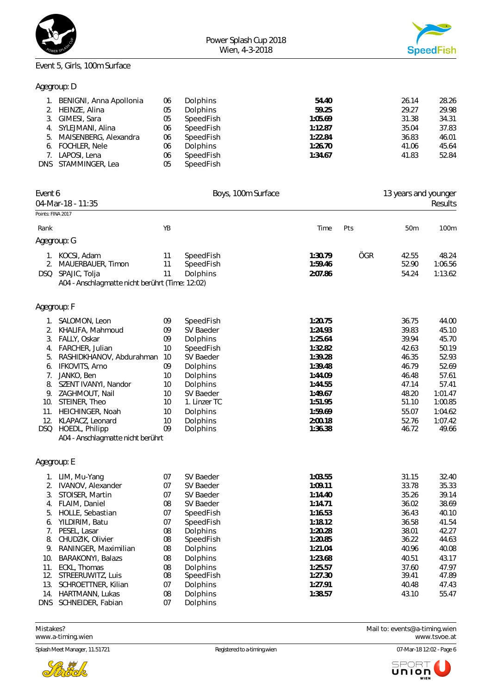



#### Event 5, Girls, 100m Surface

## Agegroup: D

|              | 06                                                                                                                                                              | Dolphins  | 54.40   | 26.14 | 28.26 |
|--------------|-----------------------------------------------------------------------------------------------------------------------------------------------------------------|-----------|---------|-------|-------|
|              | 05                                                                                                                                                              | Dolphins  | 59.25   | 29.27 | 29.98 |
|              | 05                                                                                                                                                              | SpeedFish | 1:05.69 | 31.38 | 34.31 |
|              | 06                                                                                                                                                              | SpeedFish | 1:12.87 | 35.04 | 37.83 |
|              | 06                                                                                                                                                              | SpeedFish | 1:22.84 | 36.83 | 46.01 |
|              | 06                                                                                                                                                              | Dolphins  | 1:26.70 | 41.06 | 45.64 |
| LAPOSI, Lena | 06                                                                                                                                                              | SpeedFish | 1:34.67 | 41.83 | 52.84 |
|              | 05                                                                                                                                                              | SpeedFish |         |       |       |
|              | 1. BENIGNI, Anna Apollonia<br>2. HEINZE, Alina<br>3. GIMESI, Sara<br>4. SYLEJMANI, Alina<br>5. MAISENBERG, Alexandra<br>6. FOCHLER, Nele<br>DNS STAMMINGER, Lea |           |         |       |       |

| Event 6<br>04-Mar-18 - 11:35 |                                                         | Boys, 100m Surface |                       |                    |     | 13 years and younger<br>Results |                |
|------------------------------|---------------------------------------------------------|--------------------|-----------------------|--------------------|-----|---------------------------------|----------------|
| Points: FINA 2017            |                                                         |                    |                       |                    |     |                                 |                |
| Rank                         |                                                         | YB                 |                       | Time               | Pts | 50m                             | 100m           |
|                              | Agegroup: G                                             |                    |                       |                    |     |                                 |                |
|                              | 1. KOCSI, Adam                                          | 11                 | SpeedFish             | 1:30.79            | ÖGR | 42.55                           | 48.24          |
|                              | 2. MAUERBAUER, Timon                                    | 11                 | SpeedFish             | 1:59.46            |     | 52.90                           | 1:06.56        |
|                              | DSQ SPAJIC, Tolja                                       | 11                 | Dolphins              | 2:07.86            |     | 54.24                           | 1:13.62        |
|                              | A04 - Anschlagmatte nicht berührt (Time: 12:02)         |                    |                       |                    |     |                                 |                |
| Agegroup: F                  |                                                         |                    |                       |                    |     |                                 |                |
|                              | 1. SALOMON, Leon                                        | 09                 | SpeedFish             | 1:20.75            |     | 36.75                           | 44.00          |
| 2.                           | KHALIFA, Mahmoud                                        | 09                 | SV Baeder             | 1:24.93            |     | 39.83                           | 45.10          |
|                              | 3. FALLY, Oskar                                         | 09                 | Dolphins              | 1:25.64            |     | 39.94                           | 45.70          |
|                              | 4. FARCHER, Julian                                      | 10                 | SpeedFish             | 1:32.82            |     | 42.63                           | 50.19          |
| 5.                           | RASHIDKHANOV, Abdurahman                                | 10                 | SV Baeder             | 1:39.28            |     | 46.35                           | 52.93          |
|                              | 6. IFKOVITS, Arno                                       | 09                 | Dolphins              | 1:39.48            |     | 46.79                           | 52.69          |
|                              | 7. JANKO, Ben                                           | 10                 | Dolphins              | 1:44.09            |     | 46.48                           | 57.61          |
| 8.                           | SZENT IVANYI, Nandor                                    | 10                 | Dolphins              | 1:44.55            |     | 47.14                           | 57.41          |
|                              | 9. ZAGHMOUT, Nail                                       | 10                 | SV Baeder             | 1:49.67            |     | 48.20                           | 1:01.47        |
|                              | 10. STEINER, Theo                                       | 10                 | 1. Linzer TC          | 1:51.95            |     | 51.10                           | 1:00.85        |
|                              | 11. HEICHINGER, Noah                                    | 10                 | Dolphins              | 1:59.69            |     | 55.07                           | 1:04.62        |
|                              | 12. KLAPACZ, Leonard                                    | 10                 | Dolphins              | 2:00.18            |     | 52.76                           | 1:07.42        |
|                              | DSQ HOEDL, Philipp<br>A04 - Anschlagmatte nicht berührt | 09                 | Dolphins              | 1:36.38            |     | 46.72                           | 49.66          |
|                              |                                                         |                    |                       |                    |     |                                 |                |
| Agegroup: E                  |                                                         |                    |                       |                    |     |                                 |                |
|                              | 1. LIM, Mu-Yang                                         | 07                 | SV Baeder             | 1:03.55            |     | 31.15                           | 32.40          |
| 2.                           | IVANOV, Alexander                                       | 07                 | SV Baeder             | 1:09.11            |     | 33.78                           | 35.33          |
| 3.                           | STOISER, Martin                                         | 07                 | SV Baeder             | 1:14.40            |     | 35.26                           | 39.14          |
|                              | 4. FLAIM, Daniel                                        | 08                 | SV Baeder             | 1:14.71            |     | 36.02                           | 38.69          |
| 5.                           | HOLLE, Sebastian                                        | 07                 | SpeedFish             | 1:16.53            |     | 36.43                           | 40.10          |
|                              | 6. YILDIRIM, Batu                                       | 07                 | SpeedFish             | 1:18.12            |     | 36.58                           | 41.54          |
| 7.                           | PESEL, Lasar                                            | 08                 | Dolphins              | 1:20.28            |     | 38.01                           | 42.27          |
| 8.                           | CHUDZIK, Olivier                                        | 08                 | SpeedFish             | 1:20.85            |     | 36.22                           | 44.63          |
| 9.                           | RANINGER, Maximilian                                    | 08                 | Dolphins              | 1:21.04            |     | 40.96                           | 40.08          |
| 10.                          | <b>BARAKONYI</b> , Balazs                               | 08                 | Dolphins              | 1:23.68            |     | 40.51                           | 43.17          |
| 11.<br>12.                   | ECKL, Thomas<br>STREERUWITZ, Luis                       | 08<br>08           | Dolphins<br>SpeedFish | 1:25.57<br>1:27.30 |     | 37.60<br>39.41                  | 47.97<br>47.89 |
| 13.                          | SCHROETTNER, Kilian                                     | 07                 | Dolphins              | 1:27.91            |     | 40.48                           | 47.43          |
|                              | 14. HARTMANN, Lukas                                     | 08                 | Dolphins              | 1:38.57            |     | 43.10                           | 55.47          |
|                              | DNS SCHNEIDER, Fabian                                   | 07                 | Dolphins              |                    |     |                                 |                |



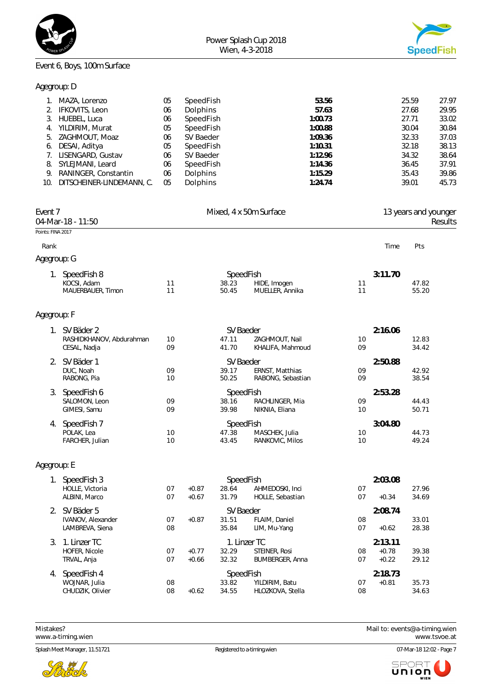



## Event 6, Boys, 100m Surface

## Agegroup: D

| 1.<br>2.<br>3.<br>4.<br>5.<br>6.<br>7.<br>8.<br>9.<br>10. | MAZA, Lorenzo<br>IFKOVITS, Leon<br>HUEBEL, Luca<br>YILDIRIM, Murat<br>ZAGHMOUT, Moaz<br>DESAI, Aditya<br>LISENGARD, Gustav<br>SYLEJMANI, Leard<br>RANINGER, Constantin<br>DITSCHEINER-LINDEMANN, C. | 05<br>06<br>06<br>05<br>06<br>05<br>06<br>06<br>06<br>05 | SpeedFish<br>Dolphins<br>SpeedFish<br>SpeedFish<br>SV Baeder<br>SpeedFish<br>SV Baeder<br>SpeedFish<br>Dolphins<br>Dolphins |                                | 53.56<br>57.63<br>1:00.73<br>1:00.88<br>1:09.36<br>1:10.31<br>1:12.96<br>1:14.36<br>1:15.29<br>1:24.74 |          |                               | 25.59<br>27.68<br>27.71<br>30.04<br>32.33<br>32.18<br>34.32<br>36.45<br>35.43<br>39.01 | 27.97<br>29.95<br>33.02<br>30.84<br>37.03<br>38.13<br>38.64<br>37.91<br>39.86<br>45.73 |
|-----------------------------------------------------------|-----------------------------------------------------------------------------------------------------------------------------------------------------------------------------------------------------|----------------------------------------------------------|-----------------------------------------------------------------------------------------------------------------------------|--------------------------------|--------------------------------------------------------------------------------------------------------|----------|-------------------------------|----------------------------------------------------------------------------------------|----------------------------------------------------------------------------------------|
| Event 7                                                   | 04-Mar-18 - 11:50                                                                                                                                                                                   |                                                          |                                                                                                                             |                                | Mixed, 4 x 50m Surface                                                                                 |          |                               | 13 years and younger                                                                   | Results                                                                                |
| Points: FINA 2017                                         |                                                                                                                                                                                                     |                                                          |                                                                                                                             |                                |                                                                                                        |          |                               |                                                                                        |                                                                                        |
| Rank                                                      |                                                                                                                                                                                                     |                                                          |                                                                                                                             |                                |                                                                                                        |          | Time                          | Pts                                                                                    |                                                                                        |
| Agegroup: G                                               |                                                                                                                                                                                                     |                                                          |                                                                                                                             |                                |                                                                                                        |          |                               |                                                                                        |                                                                                        |
|                                                           | 1. SpeedFish 8<br>KOCSI, Adam<br>MAUERBAUER, Timon                                                                                                                                                  | 11<br>11                                                 |                                                                                                                             | SpeedFish<br>38.23<br>50.45    | HIDE, Imogen<br>MUELLER, Annika                                                                        | 11<br>11 | 3:11.70                       | 47.82<br>55.20                                                                         |                                                                                        |
| Agegroup: F                                               |                                                                                                                                                                                                     |                                                          |                                                                                                                             |                                |                                                                                                        |          |                               |                                                                                        |                                                                                        |
|                                                           | 1. SV Bäder 2<br>RASHIDKHANOV, Abdurahman<br>CESAL, Nadja                                                                                                                                           | 10<br>09                                                 |                                                                                                                             | SV Baeder<br>47.11<br>41.70    | ZAGHMOUT, Nail<br>KHALIFA, Mahmoud                                                                     | 10<br>09 | 2:16.06                       | 12.83<br>34.42                                                                         |                                                                                        |
|                                                           | 2. SV Bäder 1<br>DUC, Noah<br>RABONG, Pia                                                                                                                                                           | 09<br>10                                                 |                                                                                                                             | SV Baeder<br>39.17<br>50.25    | ERNST, Matthias<br>RABONG, Sebastian                                                                   | 09<br>09 | 2:50.88                       | 42.92<br>38.54                                                                         |                                                                                        |
| 3.                                                        | SpeedFish 6<br>SALOMON, Leon<br>GIMESI, Samu                                                                                                                                                        | 09<br>09                                                 |                                                                                                                             | SpeedFish<br>38.16<br>39.98    | RACHLINGER, Mia<br>NIKNIA, Eliana                                                                      | 09<br>10 | 2:53.28                       | 44.43<br>50.71                                                                         |                                                                                        |
| 4.                                                        | SpeedFish 7<br>POLAK, Lea<br>FARCHER, Julian                                                                                                                                                        | 10<br>10                                                 |                                                                                                                             | SpeedFish<br>47.38<br>43.45    | MASCHEK, Julia<br>RANKOVIC, Milos                                                                      | 10<br>10 | 3:04.80                       | 44.73<br>49.24                                                                         |                                                                                        |
| Agegroup: E                                               |                                                                                                                                                                                                     |                                                          |                                                                                                                             |                                |                                                                                                        |          |                               |                                                                                        |                                                                                        |
|                                                           | 1. SpeedFish 3<br>HOLLE, Victoria<br>ALBINI, Marco                                                                                                                                                  | 07<br>07                                                 | $+0.87$<br>$+0.67$                                                                                                          | SpeedFish<br>28.64<br>31.79    | AHMEDOSKI, Inci<br>HOLLE, Sebastian                                                                    | 07<br>07 | 2:03.08<br>$+0.34$            | 27.96<br>34.69                                                                         |                                                                                        |
| 2.                                                        | SV Bäder 5<br>IVANOV, Alexander<br>LAMBREVA, Siena                                                                                                                                                  | 07<br>08                                                 | $+0.87$                                                                                                                     | SV Baeder<br>31.51<br>35.84    | FLAIM, Daniel<br>LIM, Mu-Yang                                                                          | 08<br>07 | 2:08.74<br>$+0.62$            | 33.01<br>28.38                                                                         |                                                                                        |
| 3.                                                        | 1. Linzer TC<br>HOFER, Nicole<br>TRVAL, Anja                                                                                                                                                        | 07<br>07                                                 | $+0.77$<br>$+0.66$                                                                                                          | 1. Linzer TC<br>32.29<br>32.32 | STEINER, Rosi<br>BUMBERGER, Anna                                                                       | 08<br>07 | 2:13.11<br>$+0.78$<br>$+0.22$ | 39.38<br>29.12                                                                         |                                                                                        |
| 4.                                                        | SpeedFish 4<br>WOJNAR, Julia<br>CHUDZIK, Olivier                                                                                                                                                    | 08<br>08                                                 | $+0.62$                                                                                                                     | SpeedFish<br>33.82<br>34.55    | YILDIRIM, Batu<br>HLOZKOVA, Stella                                                                     | 07<br>08 | 2:18.73<br>$+0.81$            | 35.73<br>34.63                                                                         |                                                                                        |



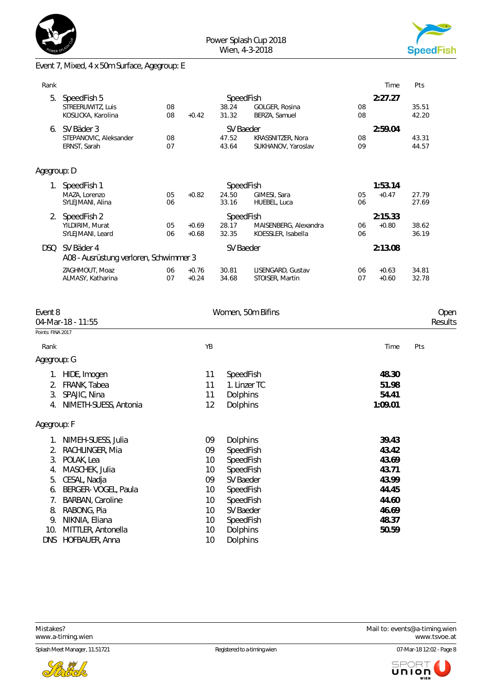

Rank Time Pts



## Event 7, Mixed, 4 x 50m Surface, Agegroup: E

| 5.                | SpeedFish 5                             |          |                    | SpeedFish                     |                                 |          | 2:27.27 |                |         |
|-------------------|-----------------------------------------|----------|--------------------|-------------------------------|---------------------------------|----------|---------|----------------|---------|
|                   | STREERUWITZ, Luis<br>KOSLICKA, Karolina | 08<br>08 | $+0.42$            | 38.24<br>31.32                | GOLGER, Rosina<br>BERZA, Samuel | 08<br>08 |         | 35.51<br>42.20 |         |
|                   | 6. SV Bäder 3                           |          |                    | SV Baeder                     |                                 |          | 2:59.04 |                |         |
|                   | STEPANOVIC, Aleksander                  | 08       |                    | 47.52                         | KRASSNITZER, Nora               | 08       |         | 43.31          |         |
|                   | ERNST, Sarah                            | 07       |                    | 43.64                         | SUKHANOV, Yaroslav              | 09       |         | 44.57          |         |
| Agegroup: D       |                                         |          |                    |                               |                                 |          |         |                |         |
|                   | 1. SpeedFish 1                          |          |                    | SpeedFish                     |                                 |          | 1:53.14 |                |         |
|                   | MAZA, Lorenzo                           | 05       | $+0.82$            | 24.50                         | GIMESI, Sara                    | 05       | $+0.47$ | 27.79          |         |
|                   | SYLEJMANI, Alina                        | 06       |                    | 33.16                         | HUEBEL, Luca                    | 06       |         | 27.69          |         |
|                   | 2. SpeedFish 2                          |          |                    | SpeedFish                     |                                 |          | 2:15.33 |                |         |
|                   | YILDIRIM, Murat                         | 05<br>06 | $+0.69$<br>$+0.68$ | 28.17<br>32.35                | MAISENBERG, Alexandra           | 06<br>06 | $+0.80$ | 38.62<br>36.19 |         |
|                   | SYLEJMANI, Leard                        |          |                    |                               | KOESSLER, Isabella              |          |         |                |         |
| DSQ               | SV Bäder 4                              |          |                    | SV Baeder                     |                                 |          | 2:13.08 |                |         |
|                   | A08 - Ausrüstung verloren, Schwimmer 3  |          |                    |                               |                                 |          |         |                |         |
|                   | ZAGHMOUT, Moaz                          | 06       | $+0.76$            | 30.81                         | LISENGARD, Gustav               | 06       | $+0.63$ | 34.81          |         |
|                   | ALMASY, Katharina                       | 07       | $+0.24$            | 34.68                         | STOISER, Martin                 | 07       | $+0.60$ | 32.78          |         |
| Event 8           |                                         |          |                    |                               | Women, 50m Bifins               |          |         |                | Oper    |
|                   | 04-Mar-18 - 11:55                       |          |                    |                               |                                 |          |         |                | Results |
| Points: FINA 2017 |                                         |          |                    |                               |                                 |          |         |                |         |
| Rank              |                                         |          | YB                 |                               |                                 |          | Time    | Pts            |         |
| Agegroup: G       |                                         |          |                    |                               |                                 |          |         |                |         |
|                   | 1. HIDE, Imogen                         |          | 11                 | SpeedFish                     |                                 |          | 48.30   |                |         |
|                   | 2. FRANK, Tabea                         |          | 11                 |                               | 1. Linzer TC                    |          | 51.98   |                |         |
|                   | 3. SPAJIC, Nina                         |          | 11                 | Dolphins                      |                                 |          | 54.41   |                |         |
| 4.                | NIMETH-SUESS, Antonia                   |          | 12                 | Dolphins                      |                                 |          | 1:09.01 |                |         |
| Agegroup: F       |                                         |          |                    |                               |                                 |          |         |                |         |
|                   | 1. NIMEH-SUESS, Julia                   |          | 09                 | Dolphins                      |                                 |          | 39.43   |                |         |
|                   | 2. RACHLINGER, Mia                      |          | 09                 | SpeedFish                     |                                 |          | 43.42   |                |         |
| $\sim$            | $D \cap I \cup I \cap I$                |          | 10 <sup>1</sup>    | $C_{\text{meas}}$ $\triangle$ |                                 |          | 127     |                |         |

|     |                         |    | <u>UNUUU IJII</u> | .     |
|-----|-------------------------|----|-------------------|-------|
| 3.  | POLAK, Lea              | 10 | SpeedFish         | 43.69 |
| 4.  | MASCHEK, Julia          | 10 | SpeedFish         | 43.71 |
|     | 5. CESAL, Nadja         | 09 | SV Baeder         | 43.99 |
| 6.  | BERGER-VOGEL, Paula     | 10 | SpeedFish         | 44.45 |
| 7.  | <b>BARBAN, Caroline</b> | 10 | SpeedFish         | 44.60 |
| 8.  | RABONG, Pia             | 10 | SV Baeder         | 46.69 |
| 9.  | NIKNIA, Eliana          | 10 | SpeedFish         | 48.37 |
| 10. | MITTLER, Antonella      | 10 | <b>Dolphins</b>   | 50.59 |
|     | DNS HOFBAUER, Anna      | 10 | <b>Dolphins</b>   |       |



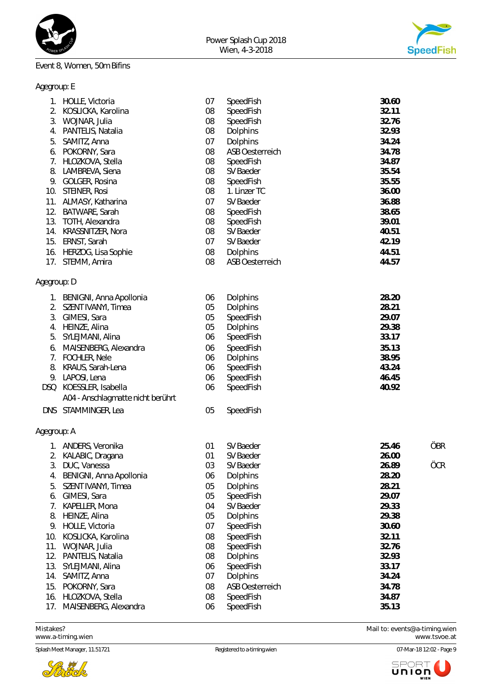

## Event 8, Women, 50m Bifins



# Agegroup: E

| 1.<br>2.    | HOLLE, Victoria<br>KOSLICKA, Karolina | 07<br>08 | SpeedFish<br>SpeedFish | 30.60<br>32.11 |
|-------------|---------------------------------------|----------|------------------------|----------------|
| 3.          | WOJNAR, Julia                         | 08       | SpeedFish              | 32.76          |
| 4.          | PANTELIS, Natalia                     | 08       | Dolphins               | 32.93          |
| 5.          | SAMITZ, Anna                          | 07       | Dolphins               | 34.24          |
| 6.          | POKORNY, Sara                         | 08       | <b>ASB Oesterreich</b> | 34.78          |
| 7.          | HLOZKOVA, Stella                      | 08       | SpeedFish              | 34.87          |
| 8.          | LAMBREVA, Siena                       | 08       | SV Baeder              | 35.54          |
|             | 9. GOLGER, Rosina                     | 08       | SpeedFish              | 35.55          |
|             | 10. STEINER, Rosi                     | 08       | 1. Linzer TC           | 36.00          |
| 11.         | ALMASY, Katharina                     | 07       | SV Baeder              | 36.88          |
| 12.         | BATWARE, Sarah                        | 08       | SpeedFish              | 38.65          |
|             | 13. TOTH, Alexandra                   | 08       | SpeedFish              | 39.01          |
|             | 14. KRASSNITZER, Nora                 | 08       | SV Baeder              | 40.51          |
| 15.         | ERNST, Sarah                          | 07       | SV Baeder              | 42.19          |
|             | 16. HERZOG, Lisa Sophie               | 08       | Dolphins               | 44.51          |
|             | 17. STEMM, Amira                      | 08       | <b>ASB Oesterreich</b> | 44.57          |
| Agegroup: D |                                       |          |                        |                |
|             | 1. BENIGNI, Anna Apollonia            | 06       | Dolphins               | 28.20          |
| 2.          | SZENT IVANYI, Timea                   | 05       | Dolphins               | 28.21          |
|             | 3. GIMESI, Sara                       | 05       | SpeedFish              | 29.07          |
| 4.          | HEINZE, Alina                         | 05       | Dolphins               | 29.38          |
| 5.          | SYLEJMANI, Alina                      | 06       | SpeedFish              | 33.17          |
| 6.          | MAISENBERG, Alexandra                 | 06       | SpeedFish              | 35.13          |
| 7.          | FOCHLER, Nele                         | 06       | Dolphins               | 38.95          |
| 8.          | KRAUS, Sarah-Lena                     | 06       | SpeedFish              | 43.24          |
| 9.          | LAPOSI, Lena                          | 06       | SpeedFish              | 46.45          |
| DSQ         | KOESSLER, Isabella                    | 06       | SpeedFish              | 40.92          |
|             | A04 - Anschlagmatte nicht berührt     |          |                        |                |
|             | DNS STAMMINGER, Lea                   | 05       | SpeedFish              |                |
| Agegroup: A |                                       |          |                        |                |
|             | 1. ANDERS, Veronika                   | 01       | SV Baeder              | 25.46<br>ÖBR   |
|             | 2. KALABIC, Dragana                   | 01       | SV Baeder              | 26.00          |
| 3.          | DUC, Vanessa                          | 03       | SV Baeder              | ÖCR<br>26.89   |
| 4.          | BENIGNI, Anna Apollonia               | 06       | Dolphins               | 28.20          |
| 5.          | SZENT IVANYI, Timea                   | 05       | Dolphins               | 28.21          |
| 6.          | GIMESI, Sara                          | 05       | SpeedFish              | 29.07          |
| 7.          | KAPELLER, Mona                        | 04       | SV Baeder              | 29.33          |
| 8.          | HEINZE, Alina                         | 05       | Dolphins               | 29.38          |
| 9.          | HOLLE, Victoria                       | 07       | SpeedFish              | 30.60          |
| 10.         | KOSLICKA, Karolina                    | 08       | SpeedFish              | 32.11          |
| 11.         | WOJNAR, Julia                         | 08       | SpeedFish              | 32.76          |
| 12.         | PANTELIS, Natalia                     | 08       | Dolphins               | 32.93          |
| 13.         | SYLEJMANI, Alina                      | 06       | SpeedFish              | 33.17          |
| 14.         | SAMITZ, Anna                          | 07       | Dolphins               | 34.24          |
| 15.         | POKORNY, Sara                         | 08       | <b>ASB Oesterreich</b> | 34.78          |
| 16.         | HLOZKOVA, Stella                      | 08       | SpeedFish              | 34.87          |
| 17.         | MAISENBERG, Alexandra                 | 06       | SpeedFish              | 35.13          |
|             |                                       |          |                        |                |

<www.a-timing.wien>



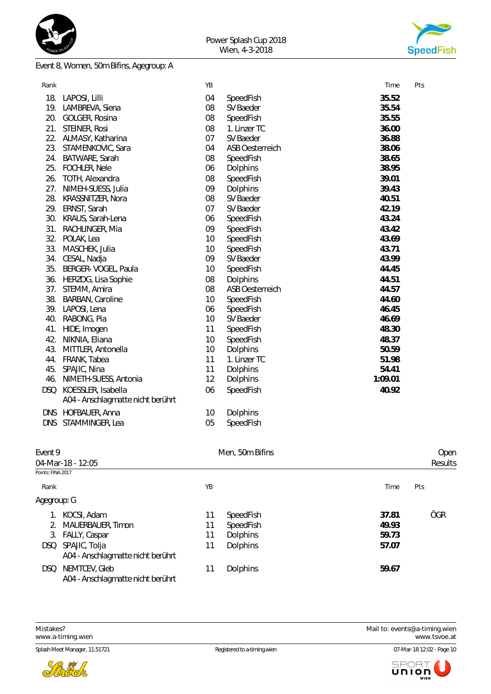



# Event 8, Women, 50m Bifins, Agegroup: A

| Rank               |                                   | ΥB |                        | Time<br>Pts |      |
|--------------------|-----------------------------------|----|------------------------|-------------|------|
| 18.                | LAPOSI, Lilli                     | 04 | SpeedFish              | 35.52       |      |
| 19.                | LAMBREVA, Siena                   | 08 | SV Baeder              | 35.54       |      |
| 20.                | GOLGER, Rosina                    | 08 | SpeedFish              | 35.55       |      |
| 21.                | STEINER, Rosi                     | 08 | 1. Linzer TC           | 36.00       |      |
| 22.                | ALMASY, Katharina                 | 07 | SV Baeder              | 36.88       |      |
| 23.                | STAMENKOVIC, Sara                 | 04 | <b>ASB Oesterreich</b> | 38.06       |      |
|                    | 24. BATWARE, Sarah                | 08 | SpeedFish              | 38.65       |      |
| 25.                | <b>FOCHLER, Nele</b>              | 06 | Dolphins               | 38.95       |      |
| 26.                | TOTH, Alexandra                   | 08 | SpeedFish              | 39.01       |      |
| 27.                | NIMEH-SUESS, Julia                | 09 | Dolphins               | 39.43       |      |
| 28.                | KRASSNITZER, Nora                 | 08 | SV Baeder              | 40.51       |      |
|                    | 29. ERNST, Sarah                  | 07 | SV Baeder              | 42.19       |      |
|                    | 30. KRAUS, Sarah-Lena             | 06 | SpeedFish              | 43.24       |      |
| 31.                | RACHLINGER, Mia                   | 09 | SpeedFish              | 43.42       |      |
| 32.                | POLAK, Lea                        | 10 | SpeedFish              | 43.69       |      |
| 33.                | MASCHEK, Julia                    | 10 | SpeedFish              | 43.71       |      |
| 34.                | CESAL, Nadja                      | 09 | SV Baeder              | 43.99       |      |
| 35.                | BERGER-VOGEL, Paula               | 10 | SpeedFish              | 44.45       |      |
| 36.                | HERZOG, Lisa Sophie               | 08 | <b>Dolphins</b>        | 44.51       |      |
| 37.                | STEMM, Amira                      | 08 | <b>ASB Oesterreich</b> | 44.57       |      |
| 38.                | <b>BARBAN, Caroline</b>           | 10 | SpeedFish              | 44.60       |      |
| 39.                | LAPOSI, Lena                      | 06 | SpeedFish              | 46.45       |      |
| 40.                | RABONG, Pia                       | 10 | SV Baeder              | 46.69       |      |
| 41.                | HIDE, Imogen                      | 11 | SpeedFish              | 48.30       |      |
| 42.                | NIKNIA, Eliana                    | 10 | SpeedFish              | 48.37       |      |
| 43.                | MITTLER, Antonella                | 10 | <b>Dolphins</b>        | 50.59       |      |
| 44.                | FRANK, Tabea                      | 11 | 1. Linzer TC           | 51.98       |      |
| 45.                | SPAJIC, Nina                      | 11 | <b>Dolphins</b>        | 54.41       |      |
| 46.                | NIMETH-SUESS, Antonia             | 12 | Dolphins               | 1:09.01     |      |
| <b>DSQ</b>         | KOESSLER, Isabella                | 06 | SpeedFish              | 40.92       |      |
|                    | A04 - Anschlagmatte nicht berührt |    |                        |             |      |
|                    | DNS HOFBAUER, Anna                | 10 | <b>Dolphins</b>        |             |      |
| <b>DNS</b>         | STAMMINGER, Lea                   | 05 | SpeedFish              |             |      |
|                    |                                   |    |                        |             |      |
| Event <sub>9</sub> |                                   |    | Men, 50m Bifins        |             | Open |

|                   | 04-Mar-18 - 12:05                                      |    |                 |       | Results |
|-------------------|--------------------------------------------------------|----|-----------------|-------|---------|
| Points: FINA 2017 |                                                        |    |                 |       |         |
| Rank              |                                                        | YB |                 | Time  | Pts     |
| Agegroup: G       |                                                        |    |                 |       |         |
|                   | KOCSI, Adam                                            | 11 | SpeedFish       | 37.81 | ÖGR     |
| 2.                | MAUERBAUER, Timon                                      | 11 | SpeedFish       | 49.93 |         |
| 3.                | FALLY, Caspar                                          | 11 | <b>Dolphins</b> | 59.73 |         |
|                   | DSQ SPAJIC, Tolja<br>A04 - Anschlagmatte nicht berührt | 11 | Dolphins        | 57.07 |         |
| DSQ.              | NEMTCEV, Gleb<br>A04 - Anschlagmatte nicht berührt     | 11 | <b>Dolphins</b> | 59.67 |         |



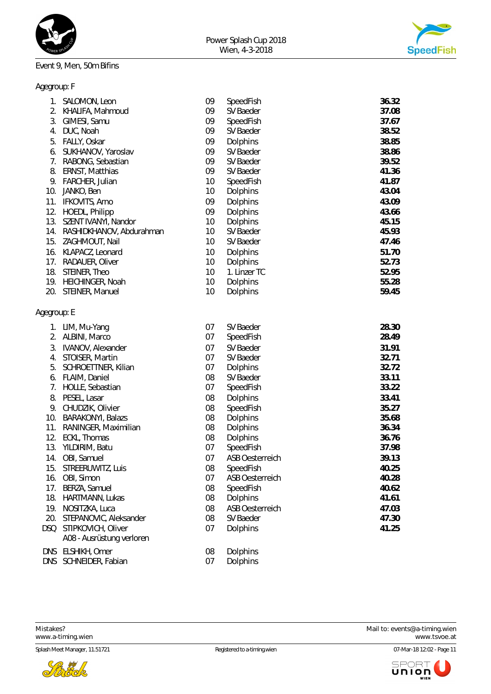

#### Event 9, Men, 50m Bifins



## Agegroup: F

|             | 1. SALOMON, Leon             | 09              | SpeedFish              | 36.32 |
|-------------|------------------------------|-----------------|------------------------|-------|
|             | 2. KHALIFA, Mahmoud          | 09              | SV Baeder              | 37.08 |
|             | 3. GIMESI, Samu              | 09              | SpeedFish              | 37.67 |
|             | 4. DUC, Noah                 | 09              | SV Baeder              | 38.52 |
|             | 5. FALLY, Oskar              | 09              | <b>Dolphins</b>        | 38.85 |
| 6.          | SUKHANOV, Yaroslav           | 09              | SV Baeder              | 38.86 |
|             | 7. RABONG, Sebastian         | 09              | SV Baeder              | 39.52 |
| 8.          | ERNST, Matthias              | 09              | SV Baeder              | 41.36 |
|             | 9. FARCHER, Julian           | 10              | SpeedFish              | 41.87 |
| 10.         | JANKO, Ben                   | 10              | Dolphins               | 43.04 |
| 11.         | IFKOVITS, Arno               | 09              | <b>Dolphins</b>        | 43.09 |
| 12.         | HOEDL, Philipp               | 09              | Dolphins               | 43.66 |
|             | 13. SZENT IVANYI, Nandor     | 10              | Dolphins               | 45.15 |
|             | 14. RASHIDKHANOV, Abdurahman | 10              | SV Baeder              | 45.93 |
| 15.         | ZAGHMOUT, Nail               | 10              | SV Baeder              | 47.46 |
|             | 16. KLAPACZ, Leonard         | 10              | Dolphins               | 51.70 |
|             | 17. RADAUER, Oliver          | 10              | Dolphins               | 52.73 |
|             | 18. STEINER, Theo            | 10 <sup>1</sup> | 1. Linzer TC           | 52.95 |
|             | 19. HEICHINGER, Noah         | 10              | Dolphins               | 55.28 |
|             | 20. STEINER, Manuel          | 10              | Dolphins               | 59.45 |
| Agegroup: E |                              |                 |                        |       |
|             | 1. LIM, Mu-Yang              | 07              | SV Baeder              | 28.30 |
|             | 2. ALBINI, Marco             | 07              | SpeedFish              | 28.49 |
|             | 3. IVANOV, Alexander         | 07              | SV Baeder              | 31.91 |
|             | 4. STOISER, Martin           | 07              | SV Baeder              | 32.71 |
|             | 5. SCHROETTNER, Kilian       | 07              | Dolphins               | 32.72 |
|             | 6. FLAIM, Daniel             | 08              | SV Baeder              | 33.11 |
|             | 7. HOLLE, Sebastian          | 07              | SpeedFish              | 33.22 |
|             | 8. PESEL, Lasar              | 08              | Dolphins               | 33.41 |
|             | 9. CHUDZIK, Olivier          | 08              | SpeedFish              | 35.27 |
|             | 10. BARAKONYI, Balazs        | 08              | Dolphins               | 35.68 |
|             | 11. RANINGER, Maximilian     | 08              | Dolphins               | 36.34 |
|             | 12. ECKL, Thomas             | 08              | Dolphins               | 36.76 |
|             | 13. YILDIRIM, Batu           | 07              | SpeedFish              | 37.98 |
|             | 14. OBI, Samuel              | 07              | <b>ASB Oesterreich</b> | 39.13 |
|             | 15. STREERUWITZ, Luis        | 08              | SpeedFish              | 40.25 |
|             | 16. OBI, Simon               | 07              | <b>ASB Oesterreich</b> | 40.28 |
|             | 17. BERZA, Samuel            | 08              | SpeedFish              | 40.62 |
|             | 18. HARTMANN, Lukas          | 08              | Dolphins               | 41.61 |
| 19.         | NOSITZKA, Luca               | 08              | ASB Oesterreich        | 47.03 |
|             | 20. STEPANOVIC, Aleksander   | 08              | SV Baeder              | 47.30 |
|             | DSQ STIPKOVICH, Oliver       | 07              | Dolphins               | 41.25 |
|             | A08 - Ausrüstung verloren    |                 |                        |       |
|             | DNS ELSHIKH, Omer            | 08              | Dolphins               |       |

DNS SCHNEIDER, Fabian 07 Dolphins



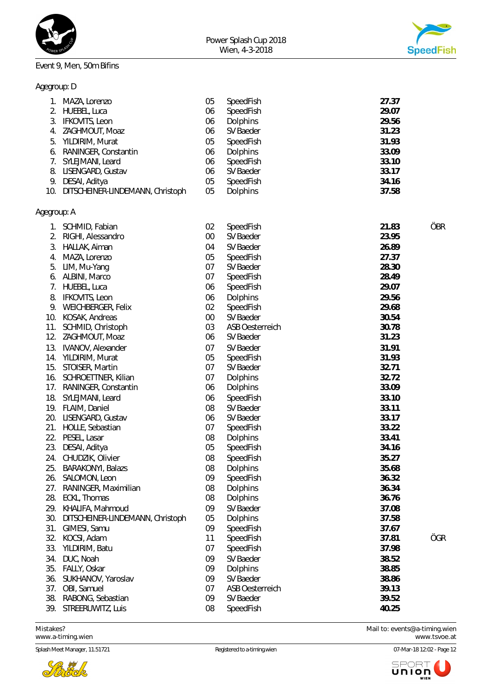

## Event 9, Men, 50m Bifins



Agegroup: D

| 1.          | MAZA, Lorenzo                        | 05 | SpeedFish              | 27.37 |     |
|-------------|--------------------------------------|----|------------------------|-------|-----|
| 2.          | HUEBEL, Luca                         | 06 | SpeedFish              | 29.07 |     |
| 3.          | IFKOVITS, Leon                       | 06 | Dolphins               | 29.56 |     |
| 4.          | ZAGHMOUT, Moaz                       | 06 | SV Baeder              | 31.23 |     |
| 5.          | YILDIRIM, Murat                      | 05 | SpeedFish              | 31.93 |     |
| 6.          | RANINGER, Constantin                 | 06 | Dolphins               | 33.09 |     |
| 7.          | SYLEJMANI, Leard                     | 06 | SpeedFish              | 33.10 |     |
| 8.          | LISENGARD, Gustav                    | 06 | SV Baeder              | 33.17 |     |
|             | 9. DESAI, Aditya                     | 05 | SpeedFish              | 34.16 |     |
|             | 10. DITSCHEINER-LINDEMANN, Christoph | 05 | Dolphins               | 37.58 |     |
| Agegroup: A |                                      |    |                        |       |     |
|             | 1. SCHMID, Fabian                    | 02 | SpeedFish              | 21.83 | ÖBR |
| 2.          | RIGHI, Alessandro                    | 00 | SV Baeder              | 23.95 |     |
| 3.          | HALLAK, Aiman                        | 04 | SV Baeder              | 26.89 |     |
| 4.          | MAZA, Lorenzo                        | 05 | SpeedFish              | 27.37 |     |
| 5.          | LIM, Mu-Yang                         | 07 | SV Baeder              | 28.30 |     |
|             | 6. ALBINI, Marco                     | 07 | SpeedFish              | 28.49 |     |
| 7.          | HUEBEL, Luca                         | 06 | SpeedFish              | 29.07 |     |
| 8.          | IFKOVITS, Leon                       | 06 | Dolphins               | 29.56 |     |
|             | 9. WEICHBERGER, Felix                | 02 | SpeedFish              | 29.68 |     |
|             | 10. KOSAK, Andreas                   | 00 | SV Baeder              | 30.54 |     |
|             | 11. SCHMID, Christoph                | 03 | <b>ASB Oesterreich</b> | 30.78 |     |
|             | 12. ZAGHMOUT, Moaz                   | 06 | SV Baeder              | 31.23 |     |
|             | 13. IVANOV, Alexander                | 07 | SV Baeder              | 31.91 |     |
|             | 14. YILDIRIM, Murat                  | 05 | SpeedFish              | 31.93 |     |
|             | 15. STOISER, Martin                  | 07 | SV Baeder              | 32.71 |     |
|             | 16. SCHROETTNER, Kilian              | 07 | Dolphins               | 32.72 |     |
|             | 17. RANINGER, Constantin             | 06 | Dolphins               | 33.09 |     |
|             | 18. SYLEJMANI, Leard                 | 06 | SpeedFish              | 33.10 |     |
|             | 19. FLAIM, Daniel                    | 08 | SV Baeder              | 33.11 |     |
| 20.         | LISENGARD, Gustav                    | 06 | SV Baeder              | 33.17 |     |
| 21.         | HOLLE, Sebastian                     | 07 | SpeedFish              | 33.22 |     |
| 22.         | PESEL, Lasar                         | 08 | Dolphins               | 33.41 |     |
| 23.         | DESAI, Aditya                        | 05 | SpeedFish              | 34.16 |     |
|             | 24. CHUDZIK, Olivier                 | 08 | SpeedFish              | 35.27 |     |
| 25.         | <b>BARAKONYI, Balazs</b>             | 08 | Dolphins               | 35.68 |     |
| 26.         | SALOMON, Leon                        | 09 | SpeedFish              | 36.32 |     |
| 27.         | RANINGER, Maximilian                 | 08 | <b>Dolphins</b>        | 36.34 |     |
| 28.         | ECKL, Thomas                         | 08 | Dolphins               | 36.76 |     |
| 29.         | KHALIFA, Mahmoud                     | 09 | SV Baeder              | 37.08 |     |
| 30.         | DITSCHEINER-LINDEMANN, Christoph     | 05 | Dolphins               | 37.58 |     |
| 31.         | GIMESI, Samu                         | 09 | SpeedFish              | 37.67 |     |
| 32.         | KOCSI, Adam                          | 11 | SpeedFish              | 37.81 | ÖGR |
| 33.         | YILDIRIM, Batu                       | 07 | SpeedFish              | 37.98 |     |
| 34.         | DUC, Noah                            | 09 | SV Baeder              | 38.52 |     |
| 35.         | FALLY, Oskar                         | 09 | Dolphins               | 38.85 |     |
| 36.         | SUKHANOV, Yaroslav                   | 09 | SV Baeder              | 38.86 |     |
| 37.         | OBI, Samuel                          | 07 | <b>ASB Oesterreich</b> | 39.13 |     |
| 38.         | RABONG, Sebastian                    | 09 | SV Baeder              | 39.52 |     |
| 39.         | STREERUWITZ, Luis                    | 08 | SpeedFish              | 40.25 |     |
|             |                                      |    |                        |       |     |

<www.a-timing.wien>

Splash Meet Manager, 11.51721 **Registered to a-timing.wien** Registered to a-timing.wien 07-Mar-18 12:02 - Page 12



Mistakes? Mail to: [events@a-timing.wien](mailto:events@a-timing.wien)

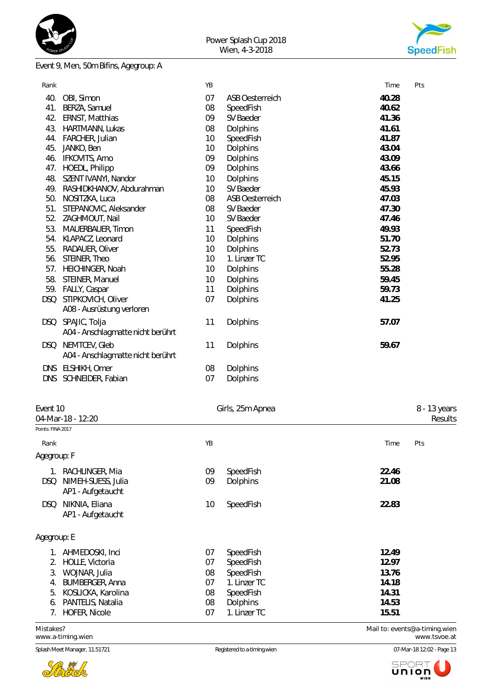



# Event 9, Men, 50m Bifins, Agegroup: A

| Rank       |                                   | ΥB |                        | Time  | Pts |
|------------|-----------------------------------|----|------------------------|-------|-----|
| 40.        | OBI, Simon                        | 07 | <b>ASB Oesterreich</b> | 40.28 |     |
| 41.        | BERZA, Samuel                     | 08 | SpeedFish              | 40.62 |     |
| 42.        | ERNST, Matthias                   | 09 | SV Baeder              | 41.36 |     |
| 43.        | HARTMANN, Lukas                   | 08 | <b>Dolphins</b>        | 41.61 |     |
| 44.        | FARCHER, Julian                   | 10 | SpeedFish              | 41.87 |     |
| 45.        | JANKO, Ben                        | 10 | Dolphins               | 43.04 |     |
| 46.        | IFKOVITS, Arno                    | 09 | Dolphins               | 43.09 |     |
| 47.        | HOEDL, Philipp                    | 09 | Dolphins               | 43.66 |     |
| 48.        | SZENT IVANYI, Nandor              | 10 | Dolphins               | 45.15 |     |
| 49.        | RASHIDKHANOV, Abdurahman          | 10 | SV Baeder              | 45.93 |     |
| 50.        | NOSITZKA, Luca                    | 08 | <b>ASB Oesterreich</b> | 47.03 |     |
| 51.        | STEPANOVIC, Aleksander            | 08 | SV Baeder              | 47.30 |     |
| 52.        | ZAGHMOUT, Nail                    | 10 | SV Baeder              | 47.46 |     |
| 53.        | MAUERBAUER, Timon                 | 11 | SpeedFish              | 49.93 |     |
| 54.        | KLAPACZ, Leonard                  | 10 | Dolphins               | 51.70 |     |
| 55.        | RADAUER, Oliver                   | 10 | <b>Dolphins</b>        | 52.73 |     |
| 56.        | STEINER, Theo                     | 10 | 1. Linzer TC           | 52.95 |     |
| 57.        | HEICHINGER, Noah                  | 10 | Dolphins               | 55.28 |     |
| 58.        | STEINER, Manuel                   | 10 | Dolphins               | 59.45 |     |
| 59.        | FALLY, Caspar                     | 11 | Dolphins               | 59.73 |     |
| <b>DSQ</b> | STIPKOVICH, Oliver                | 07 | Dolphins               | 41.25 |     |
|            | A08 - Ausrüstung verloren         |    |                        |       |     |
| <b>DSQ</b> | SPAJIC, Tolja                     | 11 | Dolphins               | 57.07 |     |
|            | A04 - Anschlagmatte nicht berührt |    |                        |       |     |
| <b>DSQ</b> | NEMTCEV, Gleb                     | 11 | Dolphins               | 59.67 |     |
|            | A04 - Anschlagmatte nicht berührt |    |                        |       |     |
| <b>DNS</b> | ELSHIKH, Omer                     | 08 | <b>Dolphins</b>        |       |     |
| <b>DNS</b> | SCHNEIDER, Fabian                 | 07 | <b>Dolphins</b>        |       |     |
|            |                                   |    |                        |       |     |

| Event 10          |                                         |    | Girls, 25m Apnea |       |         |  |
|-------------------|-----------------------------------------|----|------------------|-------|---------|--|
|                   | 04-Mar-18 - 12:20                       |    |                  |       | Results |  |
| Points: FINA 2017 |                                         |    |                  |       |         |  |
| Rank              |                                         | YB |                  | Time  | Pts     |  |
| Agegroup: F       |                                         |    |                  |       |         |  |
| 1.                | RACHLINGER, Mia                         | 09 | SpeedFish        | 22.46 |         |  |
| <b>DSQ</b>        | NIMEH-SUESS, Julia<br>AP1 - Aufgetaucht | 09 | <b>Dolphins</b>  | 21.08 |         |  |
| <b>DSQ</b>        | NIKNIA, Eliana<br>AP1 - Aufgetaucht     | 10 | SpeedFish        | 22.83 |         |  |
| Agegroup: E       |                                         |    |                  |       |         |  |
|                   | AHMEDOSKI, Inci                         | 07 | SpeedFish        | 12.49 |         |  |
| 2.                | HOLLE, Victoria                         | 07 | SpeedFish        | 12.97 |         |  |
| 3.                | WOJNAR, Julia                           | 08 | SpeedFish        | 13.76 |         |  |
| 4.                | <b>BUMBERGER, Anna</b>                  | 07 | 1. Linzer TC     | 14.18 |         |  |
| 5.                | KOSLICKA, Karolina                      | 08 | SpeedFish        | 14.31 |         |  |
| 6.                | PANTELIS, Natalia                       | 08 | <b>Dolphins</b>  | 14.53 |         |  |
| 7.                | HOFER, Nicole                           | 07 | 1. Linzer TC     | 15.51 |         |  |

<www.a-timing.wien>

Splash Meet Manager, 11.51721 **Registered to a-timing.wien** Registered to a-timing.wien 07-Mar-18 12:02 - Page 13



Mistakes?<br>
Mail to: [events@a-timing.wien](mailto:events@a-timing.wien)<br>
www.a-timing.wien

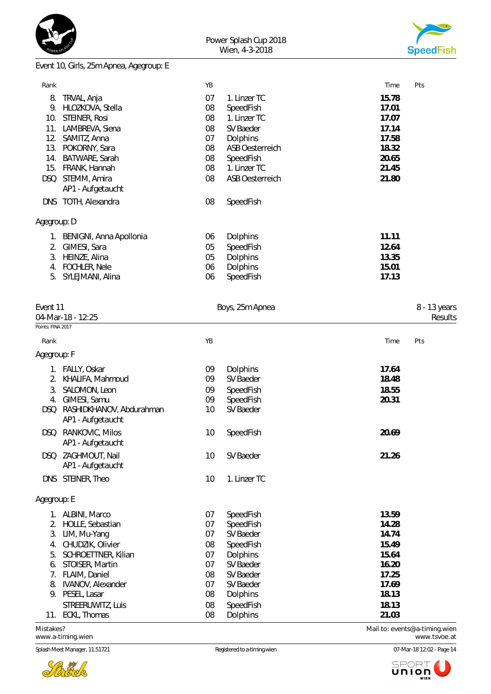



## Event 10, Girls, 25m Apnea, Agegroup: E

| Rank        |                         | YB |                        | Time  | Pts |
|-------------|-------------------------|----|------------------------|-------|-----|
| 8.          | TRVAL, Anja             | 07 | 1. Linzer TC           | 15.78 |     |
| 9.          | HLOZKOVA, Stella        | 08 | SpeedFish              | 17.01 |     |
| 10.         | STEINER, Rosi           | 08 | 1. Linzer TC           | 17.07 |     |
| 11.         | LAMBREVA, Siena         | 08 | SV Baeder              | 17.14 |     |
| 12.         | SAMITZ, Anna            | 07 | Dolphins               | 17.58 |     |
| 13.         | POKORNY, Sara           | 08 | ASB Oesterreich        | 18.32 |     |
| 14.         | BATWARE, Sarah          | 08 | SpeedFish              | 20.65 |     |
| 15.         | FRANK, Hannah           | 08 | 1. Linzer TC           | 21.45 |     |
| DSQ         | STEMM, Amira            | 08 | <b>ASB Oesterreich</b> | 21.80 |     |
|             | AP1 - Aufgetaucht       |    |                        |       |     |
| <b>DNS</b>  | TOTH, Alexandra         | 08 | SpeedFish              |       |     |
| Agegroup: D |                         |    |                        |       |     |
|             | BENIGNI, Anna Apollonia | 06 | Dolphins               | 11.11 |     |
|             | GIMESI, Sara            | 05 | SpeedFish              | 12.64 |     |
| 3.          | HEINZE, Alina           | 05 | Dolphins               | 13.35 |     |
| 4.          | FOCHLER, Nele           | 06 | Dolphins               | 15.01 |     |
| 5.          | SYLEJMANI, Alina        | 06 | SpeedFish              | 17.13 |     |
|             |                         |    |                        |       |     |

| Event 11          |                                               |    | Boys, 25m Apnea |       | 8 - 13 years   |  |  |
|-------------------|-----------------------------------------------|----|-----------------|-------|----------------|--|--|
|                   | 04-Mar-18 - 12:25                             |    |                 |       | <b>Results</b> |  |  |
| Points: FINA 2017 |                                               |    |                 |       |                |  |  |
| Rank              |                                               | YB |                 | Time  | Pts            |  |  |
| Agegroup: F       |                                               |    |                 |       |                |  |  |
|                   | 1. FALLY, Oskar                               | 09 | Dolphins        | 17.64 |                |  |  |
| 2.                | KHALIFA, Mahmoud                              | 09 | SV Baeder       | 18.48 |                |  |  |
| 3.                | SALOMON, Leon                                 | 09 | SpeedFish       | 18.55 |                |  |  |
| 4.                | GIMESI, Samu                                  | 09 | SpeedFish       | 20.31 |                |  |  |
| DSQ               | RASHIDKHANOV, Abdurahman<br>AP1 - Aufgetaucht | 10 | SV Baeder       |       |                |  |  |
| DSQ               | RANKOVIC, Milos<br>AP1 - Aufgetaucht          | 10 | SpeedFish       | 20.69 |                |  |  |
|                   | DSQ ZAGHMOUT, Nail<br>AP1 - Aufgetaucht       | 10 | SV Baeder       | 21.26 |                |  |  |
|                   | DNS STEINER, Theo                             | 10 | 1. Linzer TC    |       |                |  |  |
| Agegroup: E       |                                               |    |                 |       |                |  |  |
|                   | ALBINI, Marco                                 | 07 | SpeedFish       | 13.59 |                |  |  |
| 2.                | HOLLE, Sebastian                              | 07 | SpeedFish       | 14.28 |                |  |  |
| 3.                | LIM, Mu-Yang                                  | 07 | SV Baeder       | 14.74 |                |  |  |
| 4.                | CHUDZIK, Olivier                              | 08 | SpeedFish       | 15.49 |                |  |  |
| 5.                | SCHROETTNER, Kilian                           | 07 | <b>Dolphins</b> | 15.64 |                |  |  |
| 6.                | STOISER, Martin                               | 07 | SV Baeder       | 16.20 |                |  |  |
| 7.                | FLAIM, Daniel                                 | 08 | SV Baeder       | 17.25 |                |  |  |
| 8.                | <b>IVANOV, Alexander</b>                      | 07 | SV Baeder       | 17.69 |                |  |  |
| 9.                | PESEL, Lasar                                  | 08 | Dolphins        | 18.13 |                |  |  |
|                   | STREERUWITZ, Luis                             | 08 | SpeedFish       | 18.13 |                |  |  |
|                   | 11. ECKL, Thomas                              | 08 | <b>Dolphins</b> | 21.03 |                |  |  |

<www.a-timing.wien>

Splash Meet Manager, 11.51721 **Registered to a-timing.wien** Registered to a-timing.wien 07-Mar-18 12:02 - Page 14



Mistakes? Mail to: [events@a-timing.wien](mailto:events@a-timing.wien)

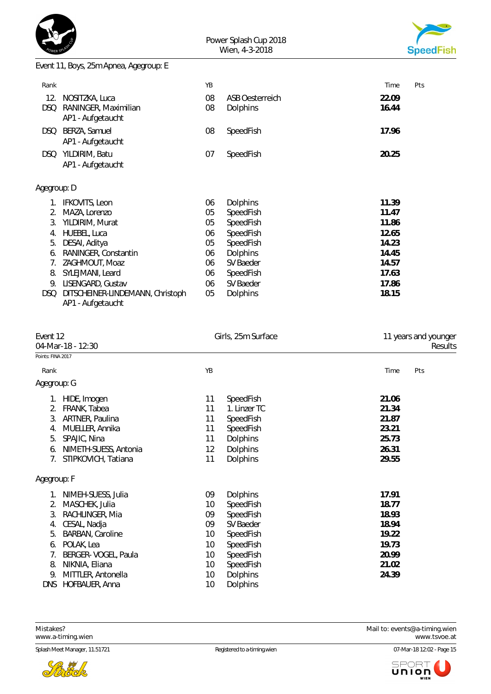



| Rank        |                                                       | YB |                 | Time  | Pts |
|-------------|-------------------------------------------------------|----|-----------------|-------|-----|
| 12.         | NOSITZKA, Luca                                        | 08 | ASB Oesterreich | 22.09 |     |
| <b>DSQ</b>  | RANINGER, Maximilian<br>AP1 - Aufgetaucht             | 08 | Dolphins        | 16.44 |     |
| <b>DSQ</b>  | BERZA, Samuel<br>AP1 - Aufgetaucht                    | 08 | SpeedFish       | 17.96 |     |
| DSQ         | YILDIRIM, Batu                                        | 07 | SpeedFish       | 20.25 |     |
|             | AP1 - Aufgetaucht                                     |    |                 |       |     |
| Agegroup: D |                                                       |    |                 |       |     |
| 1.          | IFKOVITS, Leon                                        | 06 | Dolphins        | 11.39 |     |
| 2.          | MAZA, Lorenzo                                         | 05 | SpeedFish       | 11.47 |     |
| 3.          | YILDIRIM, Murat                                       | 05 | SpeedFish       | 11.86 |     |
| 4.          | HUEBEL, Luca                                          | 06 | SpeedFish       | 12.65 |     |
| 5.          | DESAI, Aditya                                         | 05 | SpeedFish       | 14.23 |     |
| 6.          | RANINGER, Constantin                                  | 06 | Dolphins        | 14.45 |     |
| 7.          | ZAGHMOUT, Moaz                                        | 06 | SV Baeder       | 14.57 |     |
| 8.          | SYLEJMANI, Leard                                      | 06 | SpeedFish       | 17.63 |     |
| 9.          | LISENGARD, Gustav                                     | 06 | SV Baeder       | 17.86 |     |
| <b>DSQ</b>  | DITSCHEINER-LINDEMANN, Christoph<br>AP1 - Aufgetaucht | 05 | Dolphins        | 18.15 |     |

| Event 12<br>04-Mar-18 - 12:30 |                         |    | Girls, 25m Surface | 11 years and younger<br>Results |  |
|-------------------------------|-------------------------|----|--------------------|---------------------------------|--|
| Points: FINA 2017             |                         |    |                    |                                 |  |
| Rank                          |                         | YB |                    | Pts<br>Time                     |  |
| Agegroup: G                   |                         |    |                    |                                 |  |
| 1.                            | HIDE, Imogen            | 11 | SpeedFish          | 21.06                           |  |
| 2.                            | FRANK, Tabea            | 11 | 1. Linzer TC       | 21.34                           |  |
| 3.                            | ARTNER, Paulina         | 11 | SpeedFish          | 21.87                           |  |
| 4.                            | MUELLER, Annika         | 11 | SpeedFish          | 23.21                           |  |
| 5.                            | SPAJIC, Nina            | 11 | Dolphins           | 25.73                           |  |
| 6.                            | NIMETH-SUESS, Antonia   | 12 | <b>Dolphins</b>    | 26.31                           |  |
| 7.                            | STIPKOVICH, Tatiana     | 11 | Dolphins           | 29.55                           |  |
| Agegroup: F                   |                         |    |                    |                                 |  |
| 1.                            | NIMEH-SUESS, Julia      | 09 | Dolphins           | 17.91                           |  |
| 2.                            | MASCHEK, Julia          | 10 | SpeedFish          | 18.77                           |  |
| 3.                            | RACHLINGER, Mia         | 09 | SpeedFish          | 18.93                           |  |
| 4.                            | CESAL, Nadja            | 09 | SV Baeder          | 18.94                           |  |
| 5.                            | <b>BARBAN, Caroline</b> | 10 | SpeedFish          | 19.22                           |  |
| 6.                            | POLAK, Lea              | 10 | SpeedFish          | 19.73                           |  |
| 7.                            | BERGER-VOGEL, Paula     | 10 | SpeedFish          | 20.99                           |  |
| 8.                            | NIKNIA, Eliana          | 10 | SpeedFish          | 21.02                           |  |
| 9.                            | MITTLER, Antonella      | 10 | Dolphins           | 24.39                           |  |
| <b>DNS</b>                    | <b>HOFBAUER, Anna</b>   | 10 | <b>Dolphins</b>    |                                 |  |



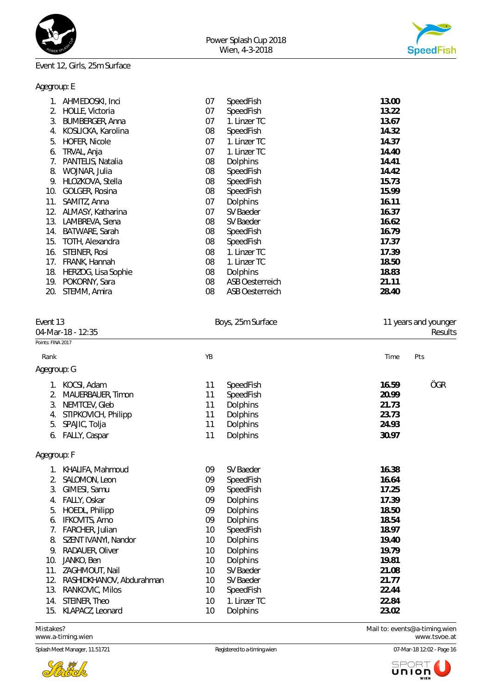

#### Event 12, Girls, 25m Surface



|                      |                                                                                    |                        | 13.00                                  |
|----------------------|------------------------------------------------------------------------------------|------------------------|----------------------------------------|
|                      |                                                                                    |                        | 13.22                                  |
|                      |                                                                                    |                        |                                        |
|                      |                                                                                    |                        | 13.67                                  |
|                      | 08                                                                                 | SpeedFish              | 14.32                                  |
| <b>HOFER, Nicole</b> | 07                                                                                 | 1. Linzer TC           | 14.37                                  |
| TRVAL, Anja          | 07                                                                                 | 1. Linzer TC           | 14.40                                  |
| PANTELIS, Natalia    | 08                                                                                 | <b>Dolphins</b>        | 14.41                                  |
| WOJNAR, Julia        | 08                                                                                 | SpeedFish              | 14.42                                  |
| HLOZKOVA, Stella     | 08                                                                                 | SpeedFish              | 15.73                                  |
| GOLGER, Rosina       | 08                                                                                 | SpeedFish              | 15.99                                  |
| SAMITZ, Anna         | 07                                                                                 | Dolphins               | 16.11                                  |
| ALMASY, Katharina    | 07                                                                                 | SV Baeder              | 16.37                                  |
| LAMBREVA, Siena      | 08                                                                                 | SV Baeder              | 16.62                                  |
| BATWARE, Sarah       | 08                                                                                 | SpeedFish              | 16.79                                  |
| TOTH, Alexandra      | 08                                                                                 | SpeedFish              | 17.37                                  |
| STEINER, Rosi        | 08                                                                                 | 1. Linzer TC           | 17.39                                  |
| FRANK, Hannah        | 08                                                                                 | 1. Linzer TC           | 18.50                                  |
| HERZOG, Lisa Sophie  | 08                                                                                 | <b>Dolphins</b>        | 18.83                                  |
| POKORNY, Sara        | 08                                                                                 | ASB Oesterreich        | 21.11                                  |
| STEMM, Amira         | 08                                                                                 | <b>ASB Oesterreich</b> | 28.40                                  |
|                      | AHMEDOSKI, Inci<br>HOLLE, Victoria<br><b>BUMBERGER, Anna</b><br>KOSLICKA, Karolina | 07<br>07<br>07         | SpeedFish<br>SpeedFish<br>1. Linzer TC |

| Event 13          |                          |    | Boys, 25m Surface | 11 years and younger |         |  |
|-------------------|--------------------------|----|-------------------|----------------------|---------|--|
|                   | 04-Mar-18 - 12:35        |    |                   |                      | Results |  |
| Points: FINA 2017 |                          |    |                   |                      |         |  |
| Rank              |                          | YB |                   | Time<br>Pts          |         |  |
| Agegroup: G       |                          |    |                   |                      |         |  |
| 1.                | KOCSI, Adam              | 11 | SpeedFish         | 16.59                | ÖGR     |  |
| 2.                | MAUERBAUER, Timon        | 11 | SpeedFish         | 20.99                |         |  |
| 3.                | NEMTCEV, Gleb            | 11 | Dolphins          | 21.73                |         |  |
| 4.                | STIPKOVICH, Philipp      | 11 | Dolphins          | 23.73                |         |  |
| 5.                | SPAJIC, Tolja            | 11 | Dolphins          | 24.93                |         |  |
| 6.                | FALLY, Caspar            | 11 | Dolphins          | 30.97                |         |  |
| Agegroup: F       |                          |    |                   |                      |         |  |
|                   | KHALIFA, Mahmoud         | 09 | SV Baeder         | 16.38                |         |  |
| 2.                | SALOMON, Leon            | 09 | SpeedFish         | 16.64                |         |  |
| 3.                | GIMESI, Samu             | 09 | SpeedFish         | 17.25                |         |  |
| 4.                | FALLY, Oskar             | 09 | Dolphins          | 17.39                |         |  |
| 5.                | HOEDL, Philipp           | 09 | Dolphins          | 18.50                |         |  |
| 6.                | <b>IFKOVITS, Arno</b>    | 09 | Dolphins          | 18.54                |         |  |
| 7.                | FARCHER, Julian          | 10 | SpeedFish         | 18.97                |         |  |
| 8.                | SZENT IVANYI, Nandor     | 10 | Dolphins          | 19.40                |         |  |
| 9.                | RADAUER, Oliver          | 10 | Dolphins          | 19.79                |         |  |
| 10.               | JANKO, Ben               | 10 | Dolphins          | 19.81                |         |  |
| 11.               | ZAGHMOUT, Nail           | 10 | SV Baeder         | 21.08                |         |  |
| 12.               | RASHIDKHANOV, Abdurahman | 10 | SV Baeder         | 21.77                |         |  |
| 13.               | RANKOVIC, Milos          | 10 | SpeedFish         | 22.44                |         |  |
| 14.               | STEINER, Theo            | 10 | 1. Linzer TC      | 22.84                |         |  |
| 15.               | KLAPACZ, Leonard         | 10 | Dolphins          | 23.02                |         |  |

<www.a-timing.wien>

Splash Meet Manager, 11.51721 **Registered to a-timing.wien** CD and the set of the CD<sub>4</sub> Mar-18 12:02 - Page 16



Mistakes? Mail to: [events@a-timing.wien](mailto:events@a-timing.wien)

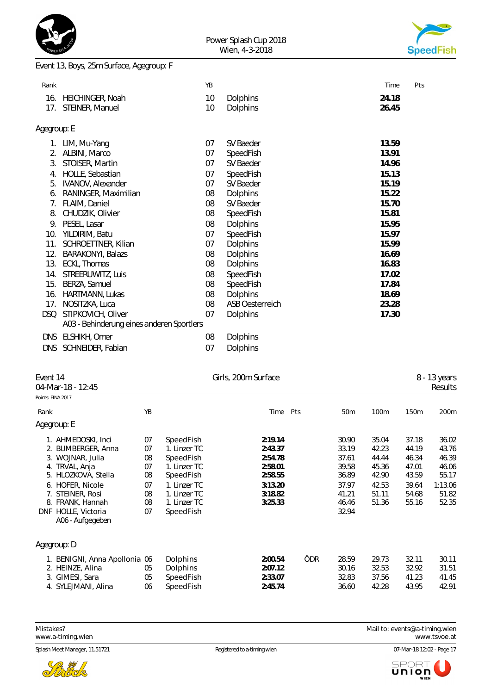



## Event 13, Boys, 25m Surface, Agegroup: F

| Rank        |                                           | YB |                        | Time  | Pts |
|-------------|-------------------------------------------|----|------------------------|-------|-----|
| 16.         | HEICHINGER, Noah                          | 10 | <b>Dolphins</b>        | 24.18 |     |
| 17.         | STEINER, Manuel                           | 10 | Dolphins               | 26.45 |     |
| Agegroup: E |                                           |    |                        |       |     |
| 1.          | LIM, Mu-Yang                              | 07 | SV Baeder              | 13.59 |     |
| 2.          | ALBINI, Marco                             | 07 | SpeedFish              | 13.91 |     |
| 3.          | STOISER, Martin                           | 07 | SV Baeder              | 14.96 |     |
| 4.          | HOLLE, Sebastian                          | 07 | SpeedFish              | 15.13 |     |
| 5.          | <b>IVANOV, Alexander</b>                  | 07 | SV Baeder              | 15.19 |     |
| 6.          | RANINGER, Maximilian                      | 08 | Dolphins               | 15.22 |     |
| 7.          | FLAIM, Daniel                             | 08 | SV Baeder              | 15.70 |     |
| 8.          | CHUDZIK, Olivier                          | 08 | SpeedFish              | 15.81 |     |
| 9.          | PESEL, Lasar                              | 08 | Dolphins               | 15.95 |     |
| 10.         | YILDIRIM, Batu                            | 07 | SpeedFish              | 15.97 |     |
| 11.         | SCHROETTNER, Kilian                       | 07 | Dolphins               | 15.99 |     |
| 12.         | <b>BARAKONYI, Balazs</b>                  | 08 | Dolphins               | 16.69 |     |
| 13.         | ECKL, Thomas                              | 08 | Dolphins               | 16.83 |     |
| 14.         | STREERUWITZ, Luis                         | 08 | SpeedFish              | 17.02 |     |
| 15.         | BERZA, Samuel                             | 08 | SpeedFish              | 17.84 |     |
| 16.         | HARTMANN, Lukas                           | 08 | Dolphins               | 18.69 |     |
| 17.         | NOSITZKA, Luca                            | 08 | <b>ASB Oesterreich</b> | 23.28 |     |
| DSQ         | STIPKOVICH, Oliver                        | 07 | Dolphins               | 17.30 |     |
|             | A03 - Behinderung eines anderen Sportlers |    |                        |       |     |
| DNS         | ELSHIKH, Omer                             | 08 | Dolphins               |       |     |
| <b>DNS</b>  | SCHNEIDER, Fabian                         | 07 | Dolphins               |       |     |
|             |                                           |    |                        |       |     |

| Event 14 |  |
|----------|--|
|----------|--|

| Event 14 |                               |    |              | Girls, 200m Surface |     | 8 - 13 years    |       |       |         |
|----------|-------------------------------|----|--------------|---------------------|-----|-----------------|-------|-------|---------|
|          | 04-Mar-18 - 12:45             |    |              |                     |     |                 |       |       | Results |
|          | Points: FINA 2017             |    |              |                     |     |                 |       |       |         |
| Rank     |                               | YB |              | Time                | Pts | 50 <sub>m</sub> | 100m  | 150m  | 200m    |
|          | Agegroup: E                   |    |              |                     |     |                 |       |       |         |
|          | 1. AHMEDOSKI, Inci            | 07 | SpeedFish    | 2:19.14             |     | 30.90           | 35.04 | 37.18 | 36.02   |
| 2.       | BUMBERGER, Anna               | 07 | 1. Linzer TC | 2:43.37             |     | 33.19           | 42.23 | 44.19 | 43.76   |
|          | 3. WOJNAR, Julia              | 08 | SpeedFish    | 2:54.78             |     | 37.61           | 44.44 | 46.34 | 46.39   |
|          | 4. TRVAL, Anja                | 07 | 1. Linzer TC | 2:58.01             |     | 39.58           | 45.36 | 47.01 | 46.06   |
|          | 5. HLOZKOVA, Stella           | 08 | SpeedFish    | 2:58.55             |     | 36.89           | 42.90 | 43.59 | 55.17   |
|          | 6. HOFER, Nicole              | 07 | 1. Linzer TC | 3:13.20             |     | 37.97           | 42.53 | 39.64 | 1:13.06 |
|          | 7. STEINER, Rosi              | 08 | 1. Linzer TC | 3:18.82             |     | 41.21           | 51.11 | 54.68 | 51.82   |
|          | 8. FRANK, Hannah              | 08 | 1. Linzer TC | 3:25.33             |     | 46.46           | 51.36 | 55.16 | 52.35   |
|          | DNF HOLLE, Victoria           | 07 | SpeedFish    |                     |     | 32.94           |       |       |         |
|          | A06 - Aufgegeben              |    |              |                     |     |                 |       |       |         |
|          | Agegroup: D                   |    |              |                     |     |                 |       |       |         |
|          | 1. BENIGNI, Anna Apollonia 06 |    | Dolphins     | 2:00.54             | ÖDR | 28.59           | 29.73 | 32.11 | 30.11   |
|          | 2. HEINZE, Alina              | 05 | Dolphins     | 2:07.12             |     | 30.16           | 32.53 | 32.92 | 31.51   |
|          | 3. GIMESI, Sara               | 05 | SpeedFish    | 2:33.07             |     | 32.83           | 37.56 | 41.23 | 41.45   |
|          | 4. SYLEJMANI, Alina           | 06 | SpeedFish    | 2:45.74             |     | 36.60           | 42.28 | 43.95 | 42.91   |



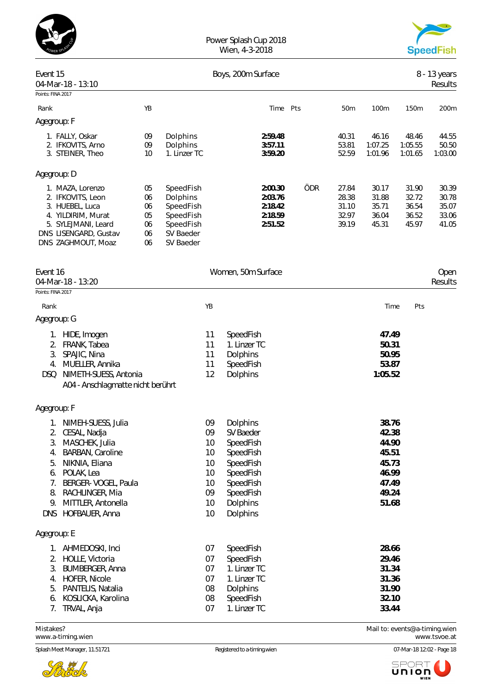| POWER SPLASHOP |
|----------------|
|                |



| Event 15                               | 04-Mar-18 - 13:10                                                                                                                                                                                    |                                        |                                                                                        |                                                          | Boys, 200m Surface                                                                                                                 |     |                                           |                                                                               |                                           | 8 - 13 years<br>Results                   |
|----------------------------------------|------------------------------------------------------------------------------------------------------------------------------------------------------------------------------------------------------|----------------------------------------|----------------------------------------------------------------------------------------|----------------------------------------------------------|------------------------------------------------------------------------------------------------------------------------------------|-----|-------------------------------------------|-------------------------------------------------------------------------------|-------------------------------------------|-------------------------------------------|
| Points: FINA 2017                      |                                                                                                                                                                                                      |                                        |                                                                                        |                                                          |                                                                                                                                    |     |                                           |                                                                               |                                           |                                           |
| Rank                                   |                                                                                                                                                                                                      | YB                                     |                                                                                        |                                                          | Time Pts                                                                                                                           |     | 50m                                       | 100m                                                                          | 150m                                      | 200m                                      |
| Agegroup: F                            |                                                                                                                                                                                                      |                                        |                                                                                        |                                                          |                                                                                                                                    |     |                                           |                                                                               |                                           |                                           |
|                                        | 1. FALLY, Oskar<br>2. IFKOVITS, Arno<br>3. STEINER, Theo                                                                                                                                             | 09<br>09<br>10                         | Dolphins<br>Dolphins<br>1. Linzer TC                                                   |                                                          | 2:59.48<br>3:57.11<br>3:59.20                                                                                                      |     | 40.31<br>53.81<br>52.59                   | 46.16<br>1:07.25<br>1:01.96                                                   | 48.46<br>1:05.55<br>1:01.65               | 44.55<br>50.50<br>1:03.00                 |
| Agegroup: D                            |                                                                                                                                                                                                      |                                        |                                                                                        |                                                          |                                                                                                                                    |     |                                           |                                                                               |                                           |                                           |
|                                        | 1. MAZA, Lorenzo<br>2. IFKOVITS, Leon<br>3. HUEBEL, Luca<br>4. YILDIRIM, Murat<br>5. SYLEJMANI, Leard<br>DNS LISENGARD, Gustav<br>DNS ZAGHMOUT, Moaz                                                 | 05<br>06<br>06<br>05<br>06<br>06<br>06 | SpeedFish<br>Dolphins<br>SpeedFish<br>SpeedFish<br>SpeedFish<br>SV Baeder<br>SV Baeder |                                                          | 2:00.30<br>2:03.76<br>2:18.42<br>2:18.59<br>2:51.52                                                                                | ÖDR | 27.84<br>28.38<br>31.10<br>32.97<br>39.19 | 30.17<br>31.88<br>35.71<br>36.04<br>45.31                                     | 31.90<br>32.72<br>36.54<br>36.52<br>45.97 | 30.39<br>30.78<br>35.07<br>33.06<br>41.05 |
| Event 16                               | 04-Mar-18 - 13:20                                                                                                                                                                                    |                                        |                                                                                        |                                                          | Women, 50m Surface                                                                                                                 |     |                                           |                                                                               |                                           | Open<br>Results                           |
| Points: FINA 2017                      |                                                                                                                                                                                                      |                                        |                                                                                        |                                                          |                                                                                                                                    |     |                                           |                                                                               |                                           |                                           |
| Rank                                   |                                                                                                                                                                                                      |                                        |                                                                                        | YB                                                       |                                                                                                                                    |     |                                           | Time                                                                          | Pts                                       |                                           |
| Agegroup: G                            |                                                                                                                                                                                                      |                                        |                                                                                        |                                                          |                                                                                                                                    |     |                                           |                                                                               |                                           |                                           |
| 2.<br>3.<br>4.<br><b>DSQ</b>           | 1. HIDE, Imogen<br>FRANK, Tabea<br>SPAJIC, Nina<br>MUELLER, Annika<br>NIMETH-SUESS, Antonia<br>A04 - Anschlagmatte nicht berührt                                                                     |                                        |                                                                                        | 11<br>11<br>11<br>11<br>12                               | SpeedFish<br>1. Linzer TC<br>Dolphins<br>SpeedFish<br>Dolphins                                                                     |     |                                           | 47.49<br>50.31<br>50.95<br>53.87<br>1:05.52                                   |                                           |                                           |
| Agegroup: F                            |                                                                                                                                                                                                      |                                        |                                                                                        |                                                          |                                                                                                                                    |     |                                           |                                                                               |                                           |                                           |
| 3.<br>4.<br>5.<br>6.<br>7.<br>8.<br>9. | 1. NIMEH-SUESS, Julia<br>2. CESAL, Nadja<br>MASCHEK, Julia<br>BARBAN, Caroline<br>NIKNIA, Eliana<br>POLAK, Lea<br>BERGER-VOGEL, Paula<br>RACHLINGER, Mia<br>MITTLER, Antonella<br>DNS HOFBAUER, Anna |                                        |                                                                                        | 09<br>09<br>10<br>10<br>10<br>10<br>10<br>09<br>10<br>10 | <b>Dolphins</b><br>SV Baeder<br>SpeedFish<br>SpeedFish<br>SpeedFish<br>SpeedFish<br>SpeedFish<br>SpeedFish<br>Dolphins<br>Dolphins |     |                                           | 38.76<br>42.38<br>44.90<br>45.51<br>45.73<br>46.99<br>47.49<br>49.24<br>51.68 |                                           |                                           |
| Agegroup: E                            |                                                                                                                                                                                                      |                                        |                                                                                        |                                                          |                                                                                                                                    |     |                                           |                                                                               |                                           |                                           |
| 2.<br>3.<br>4.<br>5.<br>6.             | 1. AHMEDOSKI, Inci<br>HOLLE, Victoria<br><b>BUMBERGER, Anna</b><br><b>HOFER, Nicole</b><br>PANTELIS, Natalia<br>KOSLICKA, Karolina<br>7. TRVAL, Anja                                                 |                                        |                                                                                        | 07<br>07<br>07<br>07<br>08<br>08<br>07                   | SpeedFish<br>SpeedFish<br>1. Linzer TC<br>1. Linzer TC<br>Dolphins<br>SpeedFish<br>1. Linzer TC                                    |     |                                           | 28.66<br>29.46<br>31.34<br>31.36<br>31.90<br>32.10<br>33.44                   |                                           |                                           |

<www.a-timing.wien>



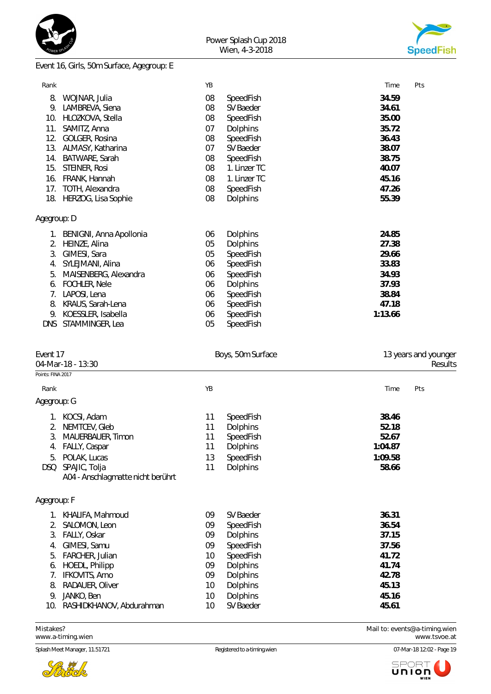



# Event 16, Girls, 50m Surface, Agegroup: E

| Rank        |                         | YB |              | Time    | Pts |
|-------------|-------------------------|----|--------------|---------|-----|
| 8.          | WOJNAR, Julia           | 08 | SpeedFish    | 34.59   |     |
| 9.          | LAMBREVA, Siena         | 08 | SV Baeder    | 34.61   |     |
| 10.         | HLOZKOVA, Stella        | 08 | SpeedFish    | 35.00   |     |
| 11.         | SAMITZ, Anna            | 07 | Dolphins     | 35.72   |     |
| 12.         | GOLGER, Rosina          | 08 | SpeedFish    | 36.43   |     |
| 13.         | ALMASY, Katharina       | 07 | SV Baeder    | 38.07   |     |
| 14.         | BATWARE, Sarah          | 08 | SpeedFish    | 38.75   |     |
| 15.         | STEINER, Rosi           | 08 | 1. Linzer TC | 40.07   |     |
| 16.         | FRANK, Hannah           | 08 | 1. Linzer TC | 45.16   |     |
| 17.         | TOTH, Alexandra         | 08 | SpeedFish    | 47.26   |     |
| 18.         | HERZOG, Lisa Sophie     | 08 | Dolphins     | 55.39   |     |
| Agegroup: D |                         |    |              |         |     |
| 1.          | BENIGNI, Anna Apollonia | 06 | Dolphins     | 24.85   |     |
| 2.          | HEINZE, Alina           | 05 | Dolphins     | 27.38   |     |
| 3.          | GIMESI, Sara            | 05 | SpeedFish    | 29.66   |     |
| 4.          | SYLEJMANI, Alina        | 06 | SpeedFish    | 33.83   |     |
| 5.          | MAISENBERG, Alexandra   | 06 | SpeedFish    | 34.93   |     |
| 6.          | FOCHLER, Nele           | 06 | Dolphins     | 37.93   |     |
| 7.          | LAPOSI, Lena            | 06 | SpeedFish    | 38.84   |     |
| 8.          | KRAUS, Sarah-Lena       | 06 | SpeedFish    | 47.18   |     |
| 9.          | KOESSLER, Isabella      | 06 | SpeedFish    | 1:13.66 |     |
| <b>DNS</b>  | STAMMINGER, Lea         | 05 | SpeedFish    |         |     |
|             |                         |    |              |         |     |

| Event 17<br>04-Mar-18 - 13:30 |                                   |    | Boys, 50m Surface | 13 years and younger<br>Results |  |  |
|-------------------------------|-----------------------------------|----|-------------------|---------------------------------|--|--|
| Points: FINA 2017             |                                   |    |                   |                                 |  |  |
| Rank                          |                                   | YB |                   | Pts<br>Time                     |  |  |
| Agegroup: G                   |                                   |    |                   |                                 |  |  |
| 1.                            | KOCSI, Adam                       | 11 | SpeedFish         | 38.46                           |  |  |
| 2.                            | NEMTCEV, Gleb                     | 11 | Dolphins          | 52.18                           |  |  |
| 3.                            | MAUERBAUER, Timon                 | 11 | SpeedFish         | 52.67                           |  |  |
| 4.                            | FALLY, Caspar                     | 11 | Dolphins          | 1:04.87                         |  |  |
| 5.                            | POLAK, Lucas                      | 13 | SpeedFish         | 1:09.58                         |  |  |
| <b>DSQ</b>                    | SPAJIC, Tolja                     | 11 | Dolphins          | 58.66                           |  |  |
|                               | A04 - Anschlagmatte nicht berührt |    |                   |                                 |  |  |
| Agegroup: F                   |                                   |    |                   |                                 |  |  |
| 1.                            | KHALIFA, Mahmoud                  | 09 | SV Baeder         | 36.31                           |  |  |
| 2.                            | SALOMON, Leon                     | 09 | SpeedFish         | 36.54                           |  |  |
| 3.                            | FALLY, Oskar                      | 09 | Dolphins          | 37.15                           |  |  |
| 4.                            | GIMESI, Samu                      | 09 | SpeedFish         | 37.56                           |  |  |
| 5.                            | FARCHER, Julian                   | 10 | SpeedFish         | 41.72                           |  |  |
| 6.                            | HOEDL, Philipp                    | 09 | Dolphins          | 41.74                           |  |  |
| 7.                            | IFKOVITS, Arno                    | 09 | Dolphins          | 42.78                           |  |  |
| 8.                            | RADAUER, Oliver                   | 10 | Dolphins          | 45.13                           |  |  |
| 9.                            | JANKO, Ben                        | 10 | Dolphins          | 45.16                           |  |  |
| 10.                           | RASHIDKHANOV, Abdurahman          | 10 | SV Baeder         | 45.61                           |  |  |

<www.a-timing.wien>

Splash Meet Manager, 11.51721 **Registered to a-timing.wien** Registered to a-timing.wien 07-Mar-18 12:02 - Page 19



Mistakes?<br>
Mail to: [events@a-timing.wien](mailto:events@a-timing.wien)<br>
www.a-timing.wien

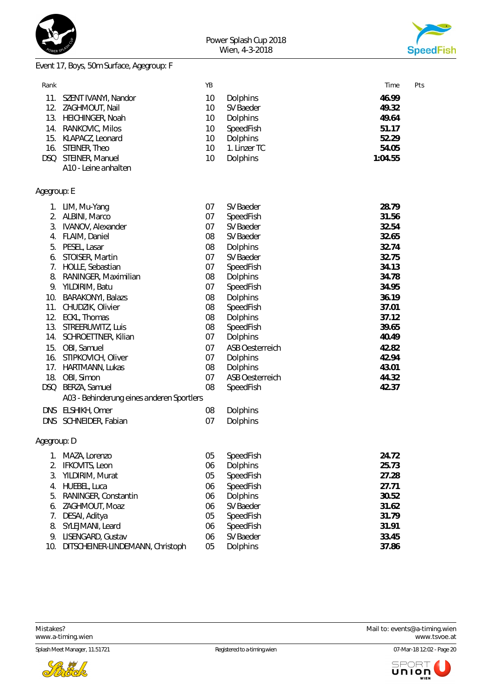

Rank YB Time Pts



# Event 17, Boys, 50m Surface, Agegroup: F

|             | 11. SZENT IVANYI, Nandor                  | 10 | Dolphins               | 46.99   |
|-------------|-------------------------------------------|----|------------------------|---------|
|             | 12. ZAGHMOUT, Nail                        | 10 | SV Baeder              | 49.32   |
|             | 13. HEICHINGER, Noah                      | 10 | Dolphins               | 49.64   |
|             | 14. RANKOVIC, Milos                       | 10 | SpeedFish              | 51.17   |
|             | 15. KLAPACZ, Leonard                      | 10 | Dolphins               | 52.29   |
|             | 16. STEINER, Theo                         | 10 | 1. Linzer TC           | 54.05   |
|             | DSQ STEINER, Manuel                       | 10 | Dolphins               | 1:04.55 |
|             | A10 - Leine anhalten                      |    |                        |         |
| Agegroup: E |                                           |    |                        |         |
|             | 1. LIM, Mu-Yang                           | 07 | SV Baeder              | 28.79   |
|             | 2. ALBINI, Marco                          | 07 | SpeedFish              | 31.56   |
|             | 3. IVANOV, Alexander                      | 07 | SV Baeder              | 32.54   |
|             | 4. FLAIM, Daniel                          | 08 | SV Baeder              | 32.65   |
| 5.          | PESEL, Lasar                              | 08 | <b>Dolphins</b>        | 32.74   |
| 6.          | STOISER, Martin                           | 07 | SV Baeder              | 32.75   |
|             | 7. HOLLE, Sebastian                       | 07 | SpeedFish              | 34.13   |
|             | 8. RANINGER, Maximilian                   | 08 | Dolphins               | 34.78   |
|             | 9. YILDIRIM, Batu                         | 07 | SpeedFish              | 34.95   |
|             | 10. BARAKONYI, Balazs                     | 08 | Dolphins               | 36.19   |
|             | 11. CHUDZIK, Olivier                      | 08 | SpeedFish              | 37.01   |
|             | 12. ECKL, Thomas                          | 08 | Dolphins               | 37.12   |
|             | 13. STREERUWITZ, Luis                     | 08 | SpeedFish              | 39.65   |
| 14.         | SCHROETTNER, Kilian                       | 07 | Dolphins               | 40.49   |
| 15.         | OBI, Samuel                               | 07 | <b>ASB Oesterreich</b> | 42.82   |
| 16.         | STIPKOVICH, Oliver                        | 07 | Dolphins               | 42.94   |
| 17.         | HARTMANN, Lukas                           | 08 | Dolphins               | 43.01   |
| 18.         | OBI, Simon                                | 07 | <b>ASB Oesterreich</b> | 44.32   |
| <b>DSQ</b>  | BERZA, Samuel                             | 08 | SpeedFish              | 42.37   |
|             | A03 - Behinderung eines anderen Sportlers |    |                        |         |
|             | DNS ELSHIKH, Omer                         | 08 | Dolphins               |         |
|             | DNS SCHNEIDER, Fabian                     | 07 | Dolphins               |         |
| Agegroup: D |                                           |    |                        |         |
|             | 1. MAZA, Lorenzo                          | 05 | SpeedFish              | 24.72   |
|             | 2. IFKOVITS, Leon                         | 06 | Dolphins               | 25.73   |
| 3.          | YILDIRIM, Murat                           | 05 | SpeedFish              | 27.28   |
| 4.          | HUEBEL, Luca                              | 06 | SpeedFish              | 27.71   |
| 5.          | RANINGER, Constantin                      | 06 | Dolphins               | 30.52   |
| 6.          | ZAGHMOUT, Moaz                            | 06 | SV Baeder              | 31.62   |
| 7.          | DESAI, Aditya                             | 05 | SpeedFish              | 31.79   |
| 8.          | SYLEJMANI, Leard                          | 06 | SpeedFish              | 31.91   |
| 9.          | LISENGARD, Gustav                         | 06 | SV Baeder              | 33.45   |
| 10.         | DITSCHEINER-LINDEMANN, Christoph          | 05 | Dolphins               | 37.86   |



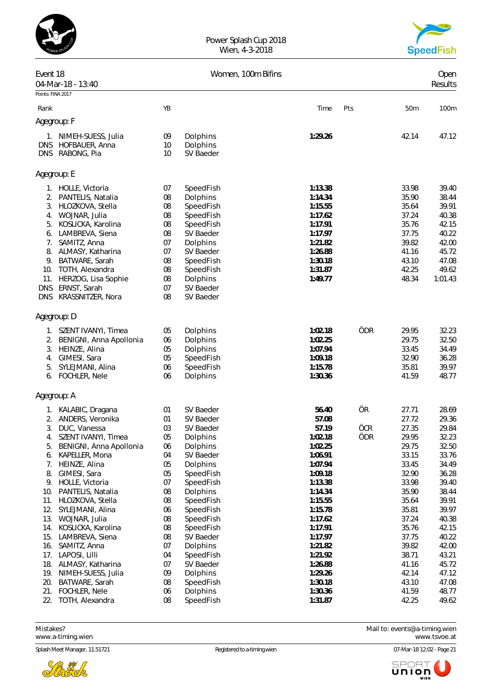



#### Event 18 Communication of the UV of Women, 100m Bifins Communication of the UV of Open

|                             | 04-Mar-18 - 13:40                                                                                                                                                                                                                                                                   |                                                                            |                                                                                                                                                                    |                                                                                                                       |                  |                                                                                                 | Results                                                                                           |
|-----------------------------|-------------------------------------------------------------------------------------------------------------------------------------------------------------------------------------------------------------------------------------------------------------------------------------|----------------------------------------------------------------------------|--------------------------------------------------------------------------------------------------------------------------------------------------------------------|-----------------------------------------------------------------------------------------------------------------------|------------------|-------------------------------------------------------------------------------------------------|---------------------------------------------------------------------------------------------------|
| Points: FINA 2017           |                                                                                                                                                                                                                                                                                     |                                                                            |                                                                                                                                                                    |                                                                                                                       |                  |                                                                                                 |                                                                                                   |
| Rank                        |                                                                                                                                                                                                                                                                                     | YB                                                                         |                                                                                                                                                                    | Time                                                                                                                  | Pts              | 50m                                                                                             | 100m                                                                                              |
|                             | Agegroup: F                                                                                                                                                                                                                                                                         |                                                                            |                                                                                                                                                                    |                                                                                                                       |                  |                                                                                                 |                                                                                                   |
|                             | 1. NIMEH-SUESS, Julia<br>DNS HOFBAUER, Anna<br>DNS RABONG, Pia                                                                                                                                                                                                                      | 09<br>10<br>10                                                             | Dolphins<br>Dolphins<br>SV Baeder                                                                                                                                  | 1:29.26                                                                                                               |                  | 42.14                                                                                           | 47.12                                                                                             |
|                             | Agegroup: E                                                                                                                                                                                                                                                                         |                                                                            |                                                                                                                                                                    |                                                                                                                       |                  |                                                                                                 |                                                                                                   |
| 5.<br>6.<br>7.<br>8.<br>11. | 1. HOLLE, Victoria<br>2. PANTELIS, Natalia<br>3. HLOZKOVA, Stella<br>4. WOJNAR, Julia<br>KOSLICKA, Karolina<br>LAMBREVA, Siena<br>SAMITZ, Anna<br>ALMASY, Katharina<br>9. BATWARE, Sarah<br>10. TOTH, Alexandra<br>HERZOG, Lisa Sophie<br>DNS ERNST, Sarah<br>DNS KRASSNITZER, Nora | 07<br>08<br>08<br>08<br>08<br>08<br>07<br>07<br>08<br>08<br>08<br>07<br>08 | SpeedFish<br>Dolphins<br>SpeedFish<br>SpeedFish<br>SpeedFish<br>SV Baeder<br>Dolphins<br>SV Baeder<br>SpeedFish<br>SpeedFish<br>Dolphins<br>SV Baeder<br>SV Baeder | 1:13.38<br>1:14.34<br>1:15.55<br>1:17.62<br>1:17.91<br>1:17.97<br>1:21.82<br>1:26.88<br>1:30.18<br>1:31.87<br>1:49.77 |                  | 33.98<br>35.90<br>35.64<br>37.24<br>35.76<br>37.75<br>39.82<br>41.16<br>43.10<br>42.25<br>48.34 | 39.40<br>38.44<br>39.91<br>40.38<br>42.15<br>40.22<br>42.00<br>45.72<br>47.08<br>49.62<br>1:01.43 |
|                             | Agegroup: D                                                                                                                                                                                                                                                                         |                                                                            |                                                                                                                                                                    |                                                                                                                       |                  |                                                                                                 |                                                                                                   |
| 4.<br>5.                    | 1. SZENT IVANYI, Timea<br>2. BENIGNI, Anna Apollonia<br>3. HEINZE, Alina<br>GIMESI, Sara<br>SYLEJMANI, Alina<br>6. FOCHLER, Nele                                                                                                                                                    | 05<br>06<br>05<br>05<br>06<br>06                                           | Dolphins<br>Dolphins<br>Dolphins<br>SpeedFish<br>SpeedFish<br>Dolphins                                                                                             | 1:02.18<br>1:02.25<br>1:07.94<br>1:09.18<br>1:15.78<br>1:30.36                                                        | ÖDR              | 29.95<br>29.75<br>33.45<br>32.90<br>35.81<br>41.59                                              | 32.23<br>32.50<br>34.49<br>36.28<br>39.97<br>48.77                                                |
|                             | Agegroup: A                                                                                                                                                                                                                                                                         |                                                                            |                                                                                                                                                                    |                                                                                                                       |                  |                                                                                                 |                                                                                                   |
| 3.<br>4.<br>5.<br>7.<br>8.  | 1. KALABIC, Dragana<br>2. ANDERS, Veronika<br>DUC, Vanessa<br>SZENT IVANYI, Timea<br>BENIGNI, Anna Apollonia<br>6. KAPELLER, Mona<br>HEINZE, Alina<br>GIMESI, Sara                                                                                                                  | 01<br>01<br>03<br>05<br>06<br>04<br>05<br>05                               | SV Baeder<br>SV Baeder<br>SV Baeder<br>Dolphins<br>Dolphins<br>SV Baeder<br>Dolphins<br>SpeedFish                                                                  | 56.40<br>57.08<br>57.19<br>1:02.18<br>1:02.25<br>1:06.91<br>1:07.94<br>1:09.18                                        | ÖR<br>ÖCR<br>ÖDR | 27.71<br>27.72<br>27.35<br>29.95<br>29.75<br>33.15<br>33.45<br>32.90                            | 28.69<br>29.36<br>29.84<br>32.23<br>32.50<br>33.76<br>34.49<br>36.28                              |
| 10.<br>11.<br>12.<br>13.    | 9. HOLLE, Victoria<br>PANTELIS, Natalia<br>HLOZKOVA, Stella<br>SYLEJMANI, Alina<br>WOJNAR, Julia                                                                                                                                                                                    | 07<br>08<br>08<br>06<br>08                                                 | SpeedFish<br>Dolphins<br>SpeedFish<br>SpeedFish<br>SpeedFish                                                                                                       | 1:13.38<br>1:14.34<br>1:15.55<br>1:15.78<br>1:17.62                                                                   |                  | 33.98<br>35.90<br>35.64<br>35.81<br>37.24                                                       | 39.40<br>38.44<br>39.91<br>39.97<br>40.38                                                         |
| 14.<br>16.<br>17.<br>18.    | KOSLICKA, Karolina<br>15. LAMBREVA, Siena<br>SAMITZ, Anna<br>LAPOSI, Lilli<br>ALMASY, Katharina                                                                                                                                                                                     | 08<br>08<br>07<br>04<br>07                                                 | SpeedFish<br>SV Baeder<br>Dolphins<br>SpeedFish<br>SV Baeder                                                                                                       | 1:17.91<br>1:17.97<br>1:21.82<br>1:21.92<br>1:26.88                                                                   |                  | 35.76<br>37.75<br>39.82<br>38.71<br>41.16                                                       | 42.15<br>40.22<br>42.00<br>43.21<br>45.72                                                         |
| 19.<br>20.<br>22.           | NIMEH-SUESS, Julia<br>BATWARE, Sarah<br>21. FOCHLER, Nele<br>TOTH, Alexandra                                                                                                                                                                                                        | 09<br>08<br>06<br>08                                                       | Dolphins<br>SpeedFish<br>Dolphins<br>SpeedFish                                                                                                                     | 1:29.26<br>1:30.18<br>1:30.36<br>1:31.87                                                                              |                  | 42.14<br>43.10<br>41.59<br>42.25                                                                | 47.12<br>47.08<br>48.77<br>49.62                                                                  |



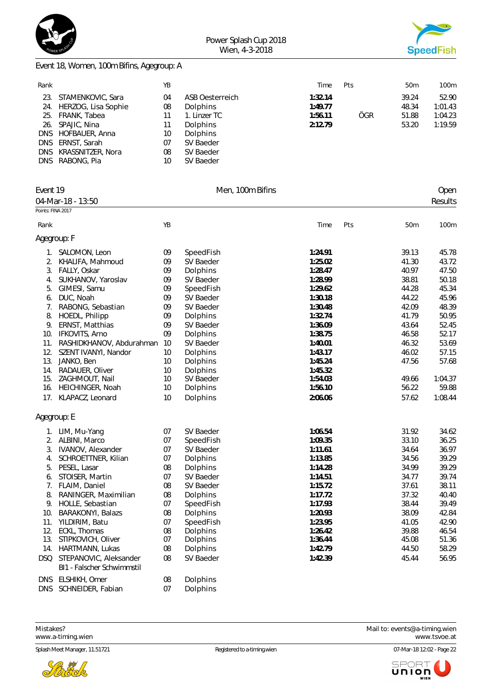



## Event 18, Women, 100m Bifins, Agegroup: A

| Rank |                     | YB |                 | Time    | <b>Pts</b> | 50 <sub>m</sub> | 100m    |
|------|---------------------|----|-----------------|---------|------------|-----------------|---------|
| 23.  | STAMENKOVIC, Sara   | 04 | ASB Oesterreich | 1:32.14 |            | 39.24           | 52.90   |
| 24.  | HERZOG, Lisa Sophie | 08 | Dolphins        | 1:49.77 |            | 48.34           | 1:01.43 |
| 25.  | FRANK, Tabea        | 11 | 1. Linzer TC    | 1:56.11 | ÖGR        | 51.88           | 1:04.23 |
| 26.  | SPAJIC, Nina        | 11 | Dolphins        | 2:12.79 |            | 53.20           | 1:19.59 |
|      | DNS HOFBAUER, Anna  | 10 | <b>Dolphins</b> |         |            |                 |         |
| DNS. | ERNST, Sarah        | 07 | SV Baeder       |         |            |                 |         |
| DNS. | KRASSNITZER, Nora   | 08 | SV Baeder       |         |            |                 |         |
| DNS. | RABONG, Pia         | 10 | SV Baeder       |         |            |                 |         |

| Event 19          |                              |        | Men, 100m Bifins |             |       | Open    |
|-------------------|------------------------------|--------|------------------|-------------|-------|---------|
|                   | 04-Mar-18 - 13:50            |        |                  |             |       | Results |
| Points: FINA 2017 |                              |        |                  |             |       |         |
| Rank              |                              | YB     |                  | Time<br>Pts | 50m   | 100m    |
| Agegroup: F       |                              |        |                  |             |       |         |
|                   | 1. SALOMON, Leon             | 09     | SpeedFish        | 1:24.91     | 39.13 | 45.78   |
| 2.                | KHALIFA, Mahmoud             | 09     | SV Baeder        | 1:25.02     | 41.30 | 43.72   |
|                   | 3. FALLY, Oskar              | 09     | Dolphins         | 1:28.47     | 40.97 | 47.50   |
| 4.                | SUKHANOV, Yaroslav           | 09     | SV Baeder        | 1:28.99     | 38.81 | 50.18   |
| 5.                | GIMESI, Samu                 | 09     | SpeedFish        | 1:29.62     | 44.28 | 45.34   |
| 6.                | DUC, Noah                    | 09     | SV Baeder        | 1:30.18     | 44.22 | 45.96   |
| 7.                | RABONG, Sebastian            | 09     | SV Baeder        | 1:30.48     | 42.09 | 48.39   |
|                   | 8. HOEDL, Philipp            | 09     | Dolphins         | 1:32.74     | 41.79 | 50.95   |
| 9.                | ERNST, Matthias              | 09     | SV Baeder        | 1:36.09     | 43.64 | 52.45   |
|                   | 10. IFKOVITS, Arno           | 09     | Dolphins         | 1:38.75     | 46.58 | 52.17   |
|                   | 11. RASHIDKHANOV, Abdurahman | 10     | SV Baeder        | 1:40.01     | 46.32 | 53.69   |
|                   | 12. SZENT IVANYI, Nandor     | 10     | Dolphins         | 1:43.17     | 46.02 | 57.15   |
| 13.               | JANKO, Ben                   | 10     | Dolphins         | 1:45.24     | 47.56 | 57.68   |
| 14.               | RADAUER, Oliver              | 10     | Dolphins         | 1:45.32     |       |         |
|                   | 15. ZAGHMOUT, Nail           | 10     | SV Baeder        | 1:54.03     | 49.66 | 1:04.37 |
|                   | 16. HEICHINGER, Noah         | 10     | Dolphins         | 1:56.10     | 56.22 | 59.88   |
|                   | 17. KLAPACZ, Leonard         | 10     | Dolphins         | 2:06.06     | 57.62 | 1:08.44 |
| Agegroup: E       |                              |        |                  |             |       |         |
|                   | 1. LIM, Mu-Yang              | 07     | SV Baeder        | 1:06.54     | 31.92 | 34.62   |
|                   | 2. ALBINI, Marco             | 07     | SpeedFish        | 1:09.35     | 33.10 | 36.25   |
| 3.                | IVANOV, Alexander            | 07     | SV Baeder        | 1:11.61     | 34.64 | 36.97   |
| 4.                | SCHROETTNER, Kilian          | 07     | Dolphins         | 1:13.85     | 34.56 | 39.29   |
|                   | 5. PESEL, Lasar              | 08     | Dolphins         | 1:14.28     | 34.99 | 39.29   |
| 6.                | STOISER, Martin              | 07     | SV Baeder        | 1:14.51     | 34.77 | 39.74   |
|                   | 7. FLAIM, Daniel             | 08     | SV Baeder        | 1:15.72     | 37.61 | 38.11   |
| 8.                | RANINGER, Maximilian         | $08\,$ | Dolphins         | 1:17.72     | 37.32 | 40.40   |
|                   | 9. HOLLE, Sebastian          | 07     | SpeedFish        | 1:17.93     | 38.44 | 39.49   |
| 10.               | <b>BARAKONYI</b> , Balazs    | 08     | Dolphins         | 1:20.93     | 38.09 | 42.84   |
|                   | 11. YILDIRIM, Batu           | 07     | SpeedFish        | 1:23.95     | 41.05 | 42.90   |
| 12.               | ECKL, Thomas                 | 08     | Dolphins         | 1:26.42     | 39.88 | 46.54   |
| 13.               | STIPKOVICH, Oliver           | 07     | Dolphins         | 1:36.44     | 45.08 | 51.36   |
|                   | 14. HARTMANN, Lukas          | 08     | Dolphins         | 1:42.79     | 44.50 | 58.29   |
|                   | DSQ STEPANOVIC, Aleksander   | 08     | SV Baeder        | 1:42.39     | 45.44 | 56.95   |
|                   | BI1 - Falscher Schwimmstil   |        |                  |             |       |         |
|                   | DNS ELSHIKH, Omer            | 08     | Dolphins         |             |       |         |

DNS SCHNEIDER, Fabian 07 Dolphins

Splash Meet Manager, 11.51721 **Registered to a-timing.wien** CD and the set of the context of the CD2 - Page 22



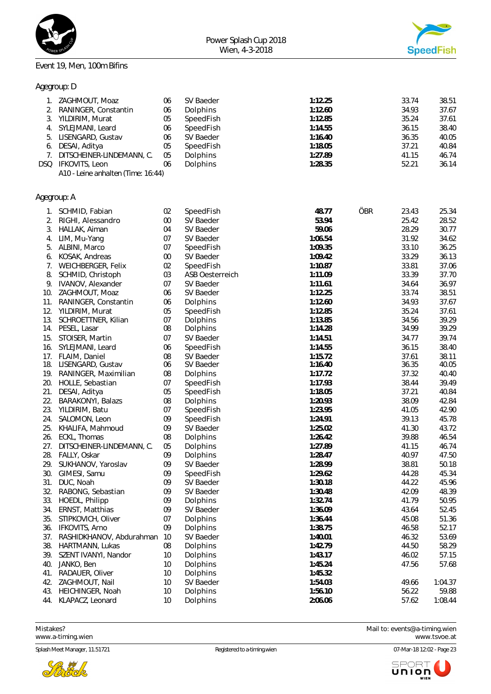

#### Event 19, Men, 100m Bifins





| Agegroup: D |  |                    |  |  |  |  |
|-------------|--|--------------------|--|--|--|--|
|             |  | <b>7AGHMOLIT M</b> |  |  |  |  |

| 1.         | ZAGHMOUT, Moaz                     | 06     | SV Baeder       | 1:12.25 |     | 33.74 | 38.51   |
|------------|------------------------------------|--------|-----------------|---------|-----|-------|---------|
| 2.         | RANINGER, Constantin               | 06     | Dolphins        | 1:12.60 |     | 34.93 | 37.67   |
| 3.         | YILDIRIM, Murat                    | 05     | SpeedFish       | 1:12.85 |     | 35.24 | 37.61   |
| 4.         | SYLEJMANI, Leard                   | 06     | SpeedFish       | 1:14.55 |     | 36.15 | 38.40   |
| 5.         | LISENGARD, Gustav                  | 06     | SV Baeder       | 1:16.40 |     | 36.35 | 40.05   |
|            |                                    | 05     |                 | 1:18.05 |     | 37.21 | 40.84   |
| 6.         | DESAI, Aditya                      |        | SpeedFish       |         |     |       |         |
| 7.         | DITSCHEINER-LINDEMANN, C.          | 05     | Dolphins        | 1:27.89 |     | 41.15 | 46.74   |
| <b>DSQ</b> | IFKOVITS, Leon                     | 06     | Dolphins        | 1:28.35 |     | 52.21 | 36.14   |
|            | A10 - Leine anhalten (Time: 16:44) |        |                 |         |     |       |         |
|            |                                    |        |                 |         |     |       |         |
|            | Agegroup: A                        |        |                 |         |     |       |         |
|            | 1. SCHMID, Fabian                  | 02     | SpeedFish       | 48.77   | ÖBR | 23.43 | 25.34   |
| 2.         | RIGHI, Alessandro                  | $00\,$ | SV Baeder       | 53.94   |     | 25.42 | 28.52   |
| 3.         | HALLAK, Aiman                      | 04     | SV Baeder       | 59.06   |     | 28.29 | 30.77   |
| 4.         | LIM, Mu-Yang                       | 07     | SV Baeder       | 1:06.54 |     | 31.92 | 34.62   |
| 5.         | ALBINI, Marco                      | 07     | SpeedFish       | 1:09.35 |     | 33.10 | 36.25   |
| 6.         | KOSAK, Andreas                     | $00\,$ | SV Baeder       | 1:09.42 |     | 33.29 | 36.13   |
| 7.         | WEICHBERGER, Felix                 | 02     | SpeedFish       | 1:10.87 |     | 33.81 | 37.06   |
|            |                                    |        |                 |         |     |       |         |
| 8.         | SCHMID, Christoph                  | 03     | ASB Oesterreich | 1:11.09 |     | 33.39 | 37.70   |
| 9.         | IVANOV, Alexander                  | 07     | SV Baeder       | 1:11.61 |     | 34.64 | 36.97   |
| 10.        | ZAGHMOUT, Moaz                     | 06     | SV Baeder       | 1:12.25 |     | 33.74 | 38.51   |
| 11.        | RANINGER, Constantin               | 06     | Dolphins        | 1:12.60 |     | 34.93 | 37.67   |
| 12.        | YILDIRIM, Murat                    | 05     | SpeedFish       | 1:12.85 |     | 35.24 | 37.61   |
| 13.        | SCHROETTNER, Kilian                | 07     | Dolphins        | 1:13.85 |     | 34.56 | 39.29   |
| 14.        | PESEL, Lasar                       | 08     | Dolphins        | 1:14.28 |     | 34.99 | 39.29   |
| 15.        | STOISER, Martin                    | 07     | SV Baeder       | 1:14.51 |     | 34.77 | 39.74   |
| 16.        | SYLEJMANI, Leard                   | 06     | SpeedFish       | 1:14.55 |     | 36.15 | 38.40   |
|            | 17. FLAIM, Daniel                  | 08     | SV Baeder       | 1:15.72 |     | 37.61 | 38.11   |
|            | 18. LISENGARD, Gustav              | 06     | SV Baeder       | 1:16.40 |     | 36.35 | 40.05   |
| 19.        | RANINGER, Maximilian               | 08     | Dolphins        | 1:17.72 |     | 37.32 | 40.40   |
| 20.        | HOLLE, Sebastian                   | 07     | SpeedFish       | 1:17.93 |     | 38.44 | 39.49   |
| 21.        | DESAI, Aditya                      | 05     | SpeedFish       | 1:18.05 |     | 37.21 | 40.84   |
| 22.        | BARAKONYI, Balazs                  | $08\,$ | Dolphins        | 1:20.93 |     | 38.09 | 42.84   |
|            |                                    |        |                 |         |     |       |         |
| 23.        | YILDIRIM, Batu                     | 07     | SpeedFish       | 1:23.95 |     | 41.05 | 42.90   |
| 24.        | SALOMON, Leon                      | 09     | SpeedFish       | 1:24.91 |     | 39.13 | 45.78   |
| 25.        | KHALIFA, Mahmoud                   | 09     | SV Baeder       | 1:25.02 |     | 41.30 | 43.72   |
| 26.        | ECKL, Thomas                       | 08     | Dolphins        | 1:26.42 |     | 39.88 | 46.54   |
| 27.        | DITSCHEINER-LINDEMANN, C.          | 05     | Dolphins        | 1:27.89 |     | 41.15 | 46.74   |
| 28.        | FALLY, Oskar                       | 09     | Dolphins        | 1:28.47 |     | 40.97 | 47.50   |
| 29.        | SUKHANOV, Yaroslav                 | 09     | SV Baeder       | 1:28.99 |     | 38.81 | 50.18   |
| 30.        | GIMESI, Samu                       | 09     | SpeedFish       | 1:29.62 |     | 44.28 | 45.34   |
| 31.        | DUC, Noah                          | 09     | SV Baeder       | 1:30.18 |     | 44.22 | 45.96   |
| 32.        | RABONG, Sebastian                  | 09     | SV Baeder       | 1:30.48 |     | 42.09 | 48.39   |
| 33.        | HOEDL, Philipp                     | 09     | Dolphins        | 1:32.74 |     | 41.79 | 50.95   |
| 34.        | ERNST, Matthias                    | 09     | SV Baeder       | 1:36.09 |     | 43.64 | 52.45   |
| 35.        | STIPKOVICH, Oliver                 | 07     | Dolphins        | 1:36.44 |     | 45.08 | 51.36   |
|            |                                    |        |                 |         |     |       |         |
| 36.        | IFKOVITS, Arno                     | 09     | Dolphins        | 1:38.75 |     | 46.58 | 52.17   |
| 37.        | RASHIDKHANOV, Abdurahman           | 10     | SV Baeder       | 1:40.01 |     | 46.32 | 53.69   |
| 38.        | HARTMANN, Lukas                    | 08     | Dolphins        | 1:42.79 |     | 44.50 | 58.29   |
| 39.        | SZENT IVANYI, Nandor               | 10     | Dolphins        | 1:43.17 |     | 46.02 | 57.15   |
| 40.        | JANKO, Ben                         | 10     | Dolphins        | 1:45.24 |     | 47.56 | 57.68   |
| 41.        | RADAUER, Oliver                    | 10     | Dolphins        | 1:45.32 |     |       |         |
| 42.        | ZAGHMOUT, Nail                     | 10     | SV Baeder       | 1:54.03 |     | 49.66 | 1:04.37 |
| 43.        | HEICHINGER, Noah                   | 10     | Dolphins        | 1:56.10 |     | 56.22 | 59.88   |
| 44.        | KLAPACZ, Leonard                   | 10     | Dolphins        | 2:06.06 |     | 57.62 | 1:08.44 |
|            |                                    |        |                 |         |     |       |         |



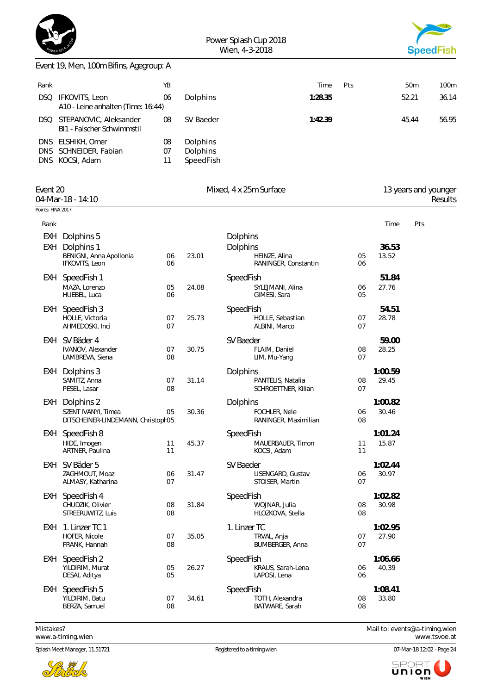



# Event 19, Men, 100m Bifins, Agegroup: A Rank YB Time Pts 50m 100m DSQ IFKOVITS, Leon 06 Dolphins **1:28.35** 52.21 36.14 *A10 - Leine anhalten (Time: 16:44)* DSQ STEPANOVIC, Aleksander 08 SV Baeder **1:42.39** 45.44 56.95 *BI1 - Falscher Schwimmstil* DNS ELSHIKH, Omer 08 Dolphins DNS SCHNEIDER, Fabian 07 Dolphins DNS KOCSI, Adam 11 SpeedFish Event 20 Mixed, 4 x 25m Surface 13 years and younger 04-Mar-18 - 14:10 Results Points: FINA 2017 Rank Time Pts EXH Dolphins 5 Dolphins EXH Dolphins 1 Dolphins **36.53** BENIGNI, Anna Apollonia  $\begin{array}{cccc} 06 & 23.01 & 06 \\ 06 & 06 & 06 \end{array}$  HEINZE, Alina 05 13.52 RANINGER, Constantin EXH SpeedFish 1 51.84<br>MAZA Lorenzo **1 SpeedFish 1** SpeedFish SYLEJMANI Alina 1 06 27.76 05 24.08 SYLEJMANI, Alina 06 27.76<br>06 05 GIMESI, Sara 05 HUEBEL, Luca EXH SpeedFish 3 SpeedFish **54.51** HOLLE, Victoria 07 25.73 HOLLE, Sebastian 07 28.78 AHMEDOSKI, Inci and the contract of the contract of the contract of the contract of the contract of the contract of the contract of the contract of the contract of the contract of the contract of the contract of the contra EXH SV Bäder 4 59.00<br>IVANOV, Alexander 07 30.75 FLAIM, Daniel 08 28.25 IVANOV, Alexander 07 30.75 FLAIM, Daniel 08 28.25 LAMBREVA, Siena EXH Dolphins 3 Dolphins **1:00.59** SAMITZ, Anna 07 31.14 PANTELIS, Natalia 08 29.45 SCHROETTNER, Kilian 07 EXH Dolphins 2 Dolphins **1:00.82** SZENT IVANYI, Timea  $05 \quad 30.36$  FOCHLER, Nele 06 30.46 DITSCHEINER-LINDEMANN, Christoph05 RANINGER, Maximilian 08 EXH SpeedFish 8 SpeedFish SpeedFish SpeedFish SpeedFish 1:01.24<br>HIDE, Imogen 11 45.37 MAUERBAUER, Timon 15.87 11 45.37 MAUERBAUER, Timon 11 15.87<br>11 11 KOCSI, Adam ARTNER, Paulina EXH SV Bäder 5 SV Baeder **1:02.44** 2 1.47 LISENGARD, Gustav 06 30.97<br>1 CHOISER, Martin 107 ALMASY, Katharina 07 STOISER, Martin 07 EXH SpeedFish 4 SpeedFish **1:02.82** CHUDZIK, Olivier STREERUWITZ, Luis 08 08 HLOZKOVA, Stella 08 EXH 1. Linzer TC 1 1. Linzer TC 1<br>
HOFER, Nicole 1. Or 35.05 1. Linzer TC 1 1. Linzer TC 1. O2.95 HOFER, Nicole 07 35.05 TRVAL, Anja 07 27.90 BUMBERGER, Anna EXH SpeedFish 2 SpeedFish **1:06.66** 26.27 KRAUS, Sarah-Lena 06 40.39 DESAI, Aditya 05 LAPOSI, Lena 06

EXH SpeedFish 5 1:08.41<br>
YILDIRIM, Batu **1:08.41** 5 07 34.61 5 10TH, Alexandra 6 13.80 YILDIRIM, Batu 07 34.61 TOTH, Alexandra 08 33.80

Splash Meet Manager, 11.51721 Channel And The Communication of the Registered to a-timing.wien Communication of the Communication of the Communication of the Communication of the Communication of the Communication of the C



08 BATWARE, Sarah 08

Mistakes? Mail to: [events@a-timing.wien](mailto:events@a-timing.wien) <www.a-timing.wien> <www.tsvoe.at>